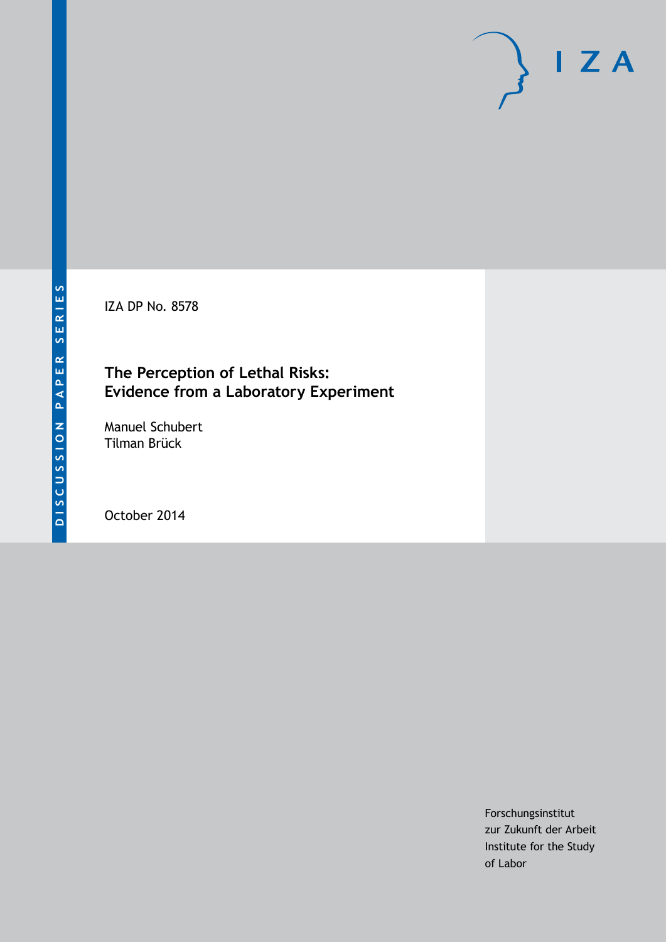IZA DP No. 8578

## **The Perception of Lethal Risks: Evidence from a Laboratory Experiment**

Manuel Schubert Tilman Brück

October 2014

Forschungsinstitut zur Zukunft der Arbeit Institute for the Study of Labor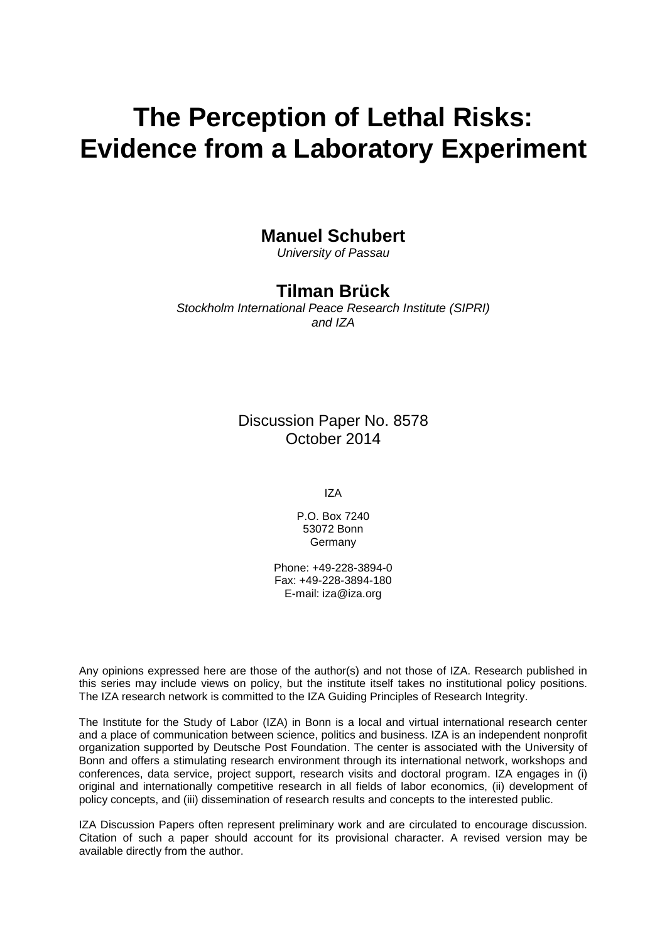# **The Perception of Lethal Risks: Evidence from a Laboratory Experiment**

## **Manuel Schubert**

*University of Passau*

## **Tilman Brück**

*Stockholm International Peace Research Institute (SIPRI) and IZA*

## Discussion Paper No. 8578 October 2014

IZA

P.O. Box 7240 53072 Bonn Germany

Phone: +49-228-3894-0 Fax: +49-228-3894-180 E-mail: [iza@iza.org](mailto:iza@iza.org)

Any opinions expressed here are those of the author(s) and not those of IZA. Research published in this series may include views on policy, but the institute itself takes no institutional policy positions. The IZA research network is committed to the IZA Guiding Principles of Research Integrity.

The Institute for the Study of Labor (IZA) in Bonn is a local and virtual international research center and a place of communication between science, politics and business. IZA is an independent nonprofit organization supported by Deutsche Post Foundation. The center is associated with the University of Bonn and offers a stimulating research environment through its international network, workshops and conferences, data service, project support, research visits and doctoral program. IZA engages in (i) original and internationally competitive research in all fields of labor economics, (ii) development of policy concepts, and (iii) dissemination of research results and concepts to the interested public.

<span id="page-1-0"></span>IZA Discussion Papers often represent preliminary work and are circulated to encourage discussion. Citation of such a paper should account for its provisional character. A revised version may be available directly from the author.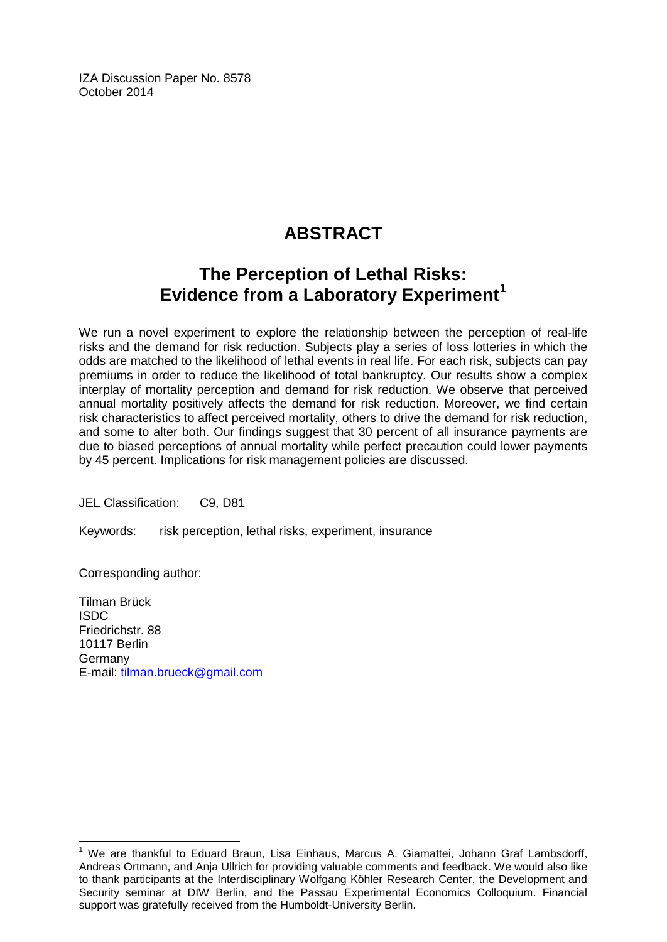IZA Discussion Paper No. 8578 October 2014

## **ABSTRACT**

## **The Perception of Lethal Risks: Evidence from a Laboratory Experiment[1](#page-1-0)**

We run a novel experiment to explore the relationship between the perception of real-life risks and the demand for risk reduction. Subjects play a series of loss lotteries in which the odds are matched to the likelihood of lethal events in real life. For each risk, subjects can pay premiums in order to reduce the likelihood of total bankruptcy. Our results show a complex interplay of mortality perception and demand for risk reduction. We observe that perceived annual mortality positively affects the demand for risk reduction. Moreover, we find certain risk characteristics to affect perceived mortality, others to drive the demand for risk reduction, and some to alter both. Our findings suggest that 30 percent of all insurance payments are due to biased perceptions of annual mortality while perfect precaution could lower payments by 45 percent. Implications for risk management policies are discussed.

JEL Classification: C9, D81

Keywords: risk perception, lethal risks, experiment, insurance

Corresponding author:

Tilman Brück ISDC Friedrichstr. 88 10117 Berlin Germany E-mail: [tilman.brueck@gmail.com](mailto:tilman.brueck@gmail.com)

<sup>1</sup> We are thankful to Eduard Braun, Lisa Einhaus, Marcus A. Giamattei, Johann Graf Lambsdorff, Andreas Ortmann, and Anja Ullrich for providing valuable comments and feedback. We would also like to thank participants at the Interdisciplinary Wolfgang Köhler Research Center, the Development and Security seminar at DIW Berlin, and the Passau Experimental Economics Colloquium. Financial support was gratefully received from the Humboldt-University Berlin.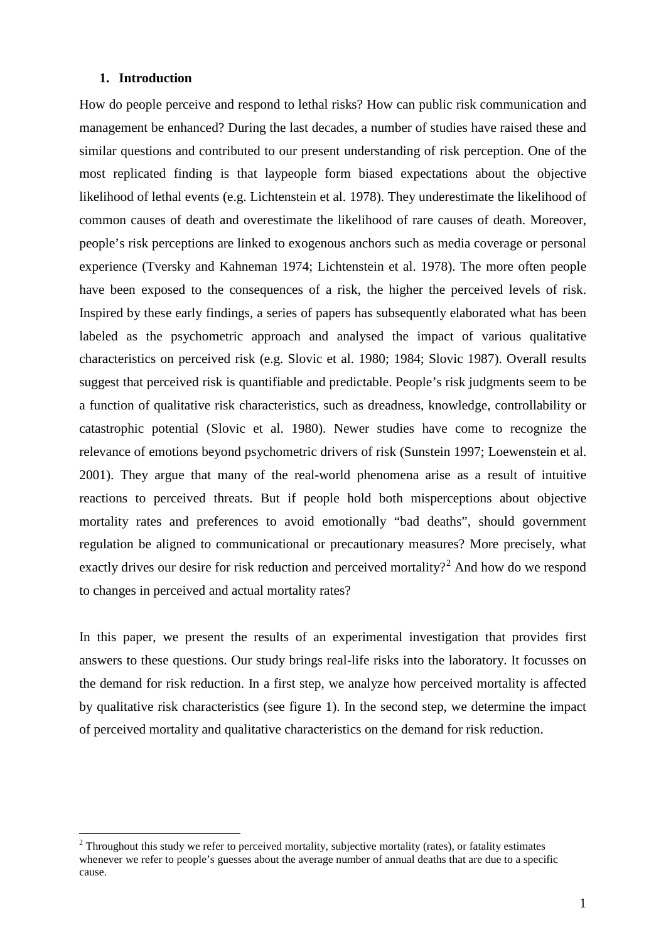#### **1. Introduction**

How do people perceive and respond to lethal risks? How can public risk communication and management be enhanced? During the last decades, a number of studies have raised these and similar questions and contributed to our present understanding of risk perception. One of the most replicated finding is that laypeople form biased expectations about the objective likelihood of lethal events (e.g. Lichtenstein et al. 1978). They underestimate the likelihood of common causes of death and overestimate the likelihood of rare causes of death. Moreover, people's risk perceptions are linked to exogenous anchors such as media coverage or personal experience (Tversky and Kahneman 1974; Lichtenstein et al. 1978). The more often people have been exposed to the consequences of a risk, the higher the perceived levels of risk. Inspired by these early findings, a series of papers has subsequently elaborated what has been labeled as the psychometric approach and analysed the impact of various qualitative characteristics on perceived risk (e.g. Slovic et al. 1980; 1984; Slovic 1987). Overall results suggest that perceived risk is quantifiable and predictable. People's risk judgments seem to be a function of qualitative risk characteristics, such as dreadness, knowledge, controllability or catastrophic potential (Slovic et al. 1980). Newer studies have come to recognize the relevance of emotions beyond psychometric drivers of risk (Sunstein 1997; Loewenstein et al. 2001). They argue that many of the real-world phenomena arise as a result of intuitive reactions to perceived threats. But if people hold both misperceptions about objective mortality rates and preferences to avoid emotionally "bad deaths", should government regulation be aligned to communicational or precautionary measures? More precisely, what exactly drives our desire for risk reduction and perceived mortality?<sup>2</sup> And how do we respond to changes in perceived and actual mortality rates?

In this paper, we present the results of an experimental investigation that provides first answers to these questions. Our study brings real-life risks into the laboratory. It focusses on the demand for risk reduction. In a first step, we analyze how perceived mortality is affected by qualitative risk characteristics (see figure 1). In the second step, we determine the impact of perceived mortality and qualitative characteristics on the demand for risk reduction.

<span id="page-3-0"></span><sup>&</sup>lt;sup>2</sup> Throughout this study we refer to perceived mortality, subjective mortality (rates), or fatality estimates whenever we refer to people's guesses about the average number of annual deaths that are due to a specific cause.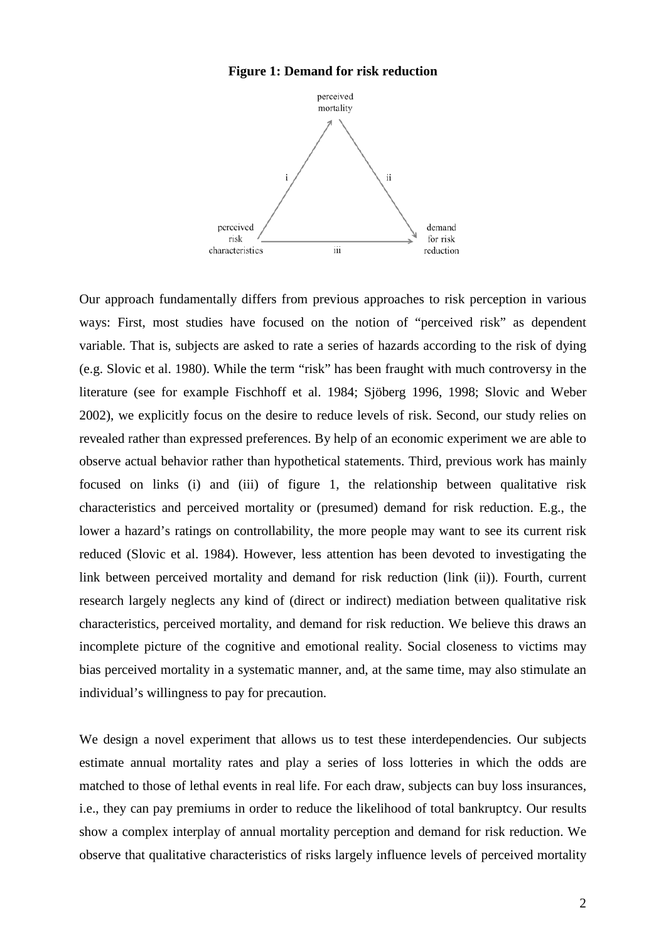## **Figure 1: Demand for risk reduction**



Our approach fundamentally differs from previous approaches to risk perception in various ways: First, most studies have focused on the notion of "perceived risk" as dependent variable. That is, subjects are asked to rate a series of hazards according to the risk of dying (e.g. Slovic et al. 1980). While the term "risk" has been fraught with much controversy in the literature (see for example Fischhoff et al. 1984; Sjöberg 1996, 1998; Slovic and Weber 2002), we explicitly focus on the desire to reduce levels of risk. Second, our study relies on revealed rather than expressed preferences. By help of an economic experiment we are able to observe actual behavior rather than hypothetical statements. Third, previous work has mainly focused on links (i) and (iii) of figure 1, the relationship between qualitative risk characteristics and perceived mortality or (presumed) demand for risk reduction. E.g., the lower a hazard's ratings on controllability, the more people may want to see its current risk reduced (Slovic et al. 1984). However, less attention has been devoted to investigating the link between perceived mortality and demand for risk reduction (link (ii)). Fourth, current research largely neglects any kind of (direct or indirect) mediation between qualitative risk characteristics, perceived mortality, and demand for risk reduction. We believe this draws an incomplete picture of the cognitive and emotional reality. Social closeness to victims may bias perceived mortality in a systematic manner, and, at the same time, may also stimulate an individual's willingness to pay for precaution.

We design a novel experiment that allows us to test these interdependencies. Our subjects estimate annual mortality rates and play a series of loss lotteries in which the odds are matched to those of lethal events in real life. For each draw, subjects can buy loss insurances, i.e., they can pay premiums in order to reduce the likelihood of total bankruptcy. Our results show a complex interplay of annual mortality perception and demand for risk reduction. We observe that qualitative characteristics of risks largely influence levels of perceived mortality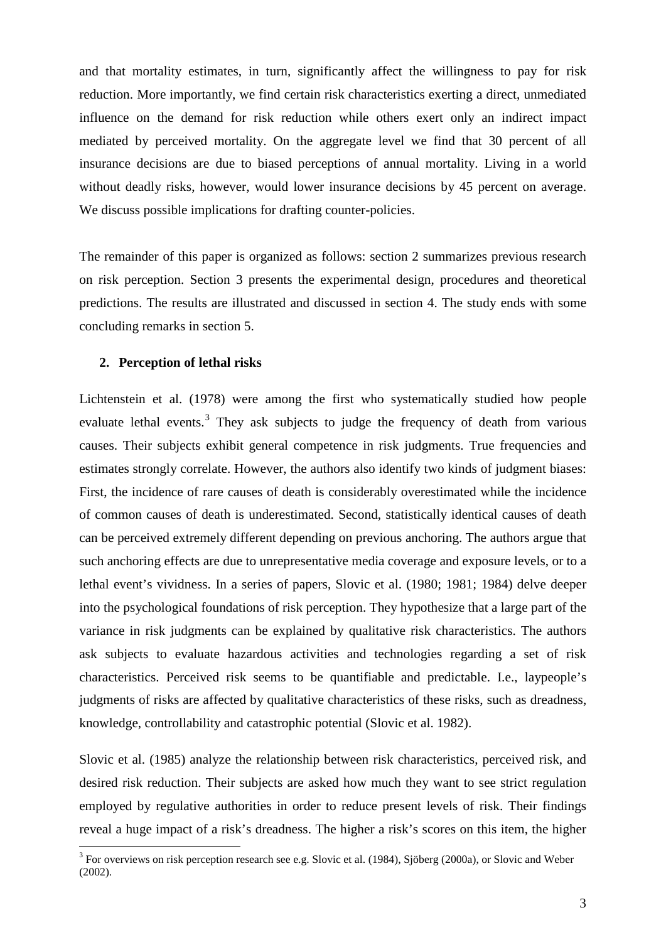and that mortality estimates, in turn, significantly affect the willingness to pay for risk reduction. More importantly, we find certain risk characteristics exerting a direct, unmediated influence on the demand for risk reduction while others exert only an indirect impact mediated by perceived mortality. On the aggregate level we find that 30 percent of all insurance decisions are due to biased perceptions of annual mortality. Living in a world without deadly risks, however, would lower insurance decisions by 45 percent on average. We discuss possible implications for drafting counter-policies.

The remainder of this paper is organized as follows: section 2 summarizes previous research on risk perception. Section 3 presents the experimental design, procedures and theoretical predictions. The results are illustrated and discussed in section 4. The study ends with some concluding remarks in section 5.

## **2. Perception of lethal risks**

Lichtenstein et al. (1978) were among the first who systematically studied how people evaluate lethal events.<sup>[3](#page-3-0)</sup> They ask subjects to judge the frequency of death from various causes. Their subjects exhibit general competence in risk judgments. True frequencies and estimates strongly correlate. However, the authors also identify two kinds of judgment biases: First, the incidence of rare causes of death is considerably overestimated while the incidence of common causes of death is underestimated. Second, statistically identical causes of death can be perceived extremely different depending on previous anchoring. The authors argue that such anchoring effects are due to unrepresentative media coverage and exposure levels, or to a lethal event's vividness. In a series of papers, Slovic et al. (1980; 1981; 1984) delve deeper into the psychological foundations of risk perception. They hypothesize that a large part of the variance in risk judgments can be explained by qualitative risk characteristics. The authors ask subjects to evaluate hazardous activities and technologies regarding a set of risk characteristics. Perceived risk seems to be quantifiable and predictable. I.e., laypeople's judgments of risks are affected by qualitative characteristics of these risks, such as dreadness, knowledge, controllability and catastrophic potential (Slovic et al. 1982).

Slovic et al. (1985) analyze the relationship between risk characteristics, perceived risk, and desired risk reduction. Their subjects are asked how much they want to see strict regulation employed by regulative authorities in order to reduce present levels of risk. Their findings reveal a huge impact of a risk's dreadness. The higher a risk's scores on this item, the higher

<span id="page-5-0"></span><sup>&</sup>lt;sup>3</sup> For overviews on risk perception research see e.g. Slovic et al. (1984), Sjöberg (2000a), or Slovic and Weber (2002).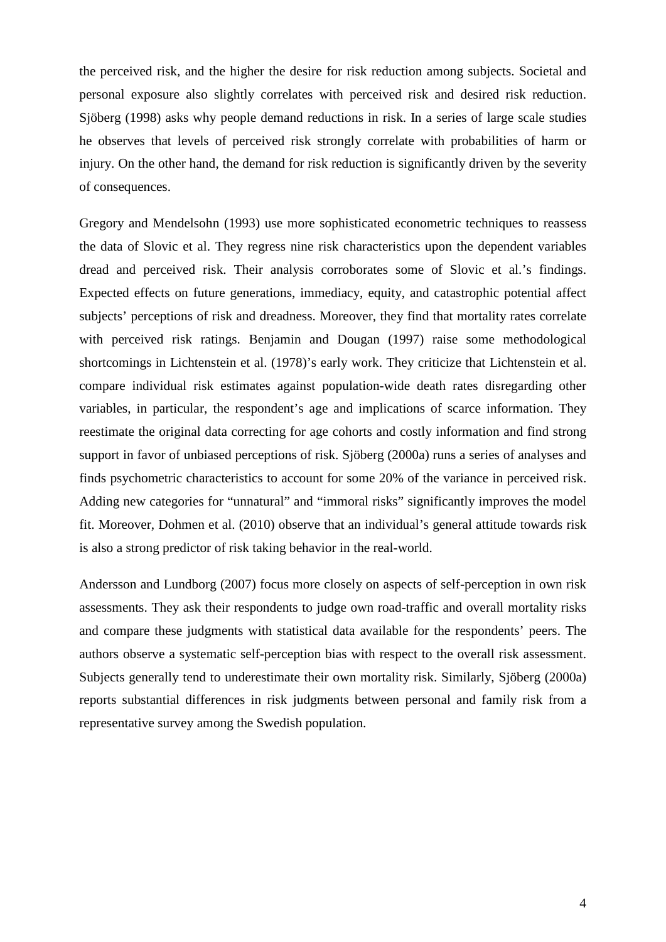the perceived risk, and the higher the desire for risk reduction among subjects. Societal and personal exposure also slightly correlates with perceived risk and desired risk reduction. Sjöberg (1998) asks why people demand reductions in risk. In a series of large scale studies he observes that levels of perceived risk strongly correlate with probabilities of harm or injury. On the other hand, the demand for risk reduction is significantly driven by the severity of consequences.

Gregory and Mendelsohn (1993) use more sophisticated econometric techniques to reassess the data of Slovic et al. They regress nine risk characteristics upon the dependent variables dread and perceived risk. Their analysis corroborates some of Slovic et al.'s findings. Expected effects on future generations, immediacy, equity, and catastrophic potential affect subjects' perceptions of risk and dreadness. Moreover, they find that mortality rates correlate with perceived risk ratings. Benjamin and Dougan (1997) raise some methodological shortcomings in Lichtenstein et al. (1978)'s early work. They criticize that Lichtenstein et al. compare individual risk estimates against population-wide death rates disregarding other variables, in particular, the respondent's age and implications of scarce information. They reestimate the original data correcting for age cohorts and costly information and find strong support in favor of unbiased perceptions of risk. Sjöberg (2000a) runs a series of analyses and finds psychometric characteristics to account for some 20% of the variance in perceived risk. Adding new categories for "unnatural" and "immoral risks" significantly improves the model fit. Moreover, Dohmen et al. (2010) observe that an individual's general attitude towards risk is also a strong predictor of risk taking behavior in the real-world.

Andersson and Lundborg (2007) focus more closely on aspects of self-perception in own risk assessments. They ask their respondents to judge own road-traffic and overall mortality risks and compare these judgments with statistical data available for the respondents' peers. The authors observe a systematic self-perception bias with respect to the overall risk assessment. Subjects generally tend to underestimate their own mortality risk. Similarly, Sjöberg (2000a) reports substantial differences in risk judgments between personal and family risk from a representative survey among the Swedish population.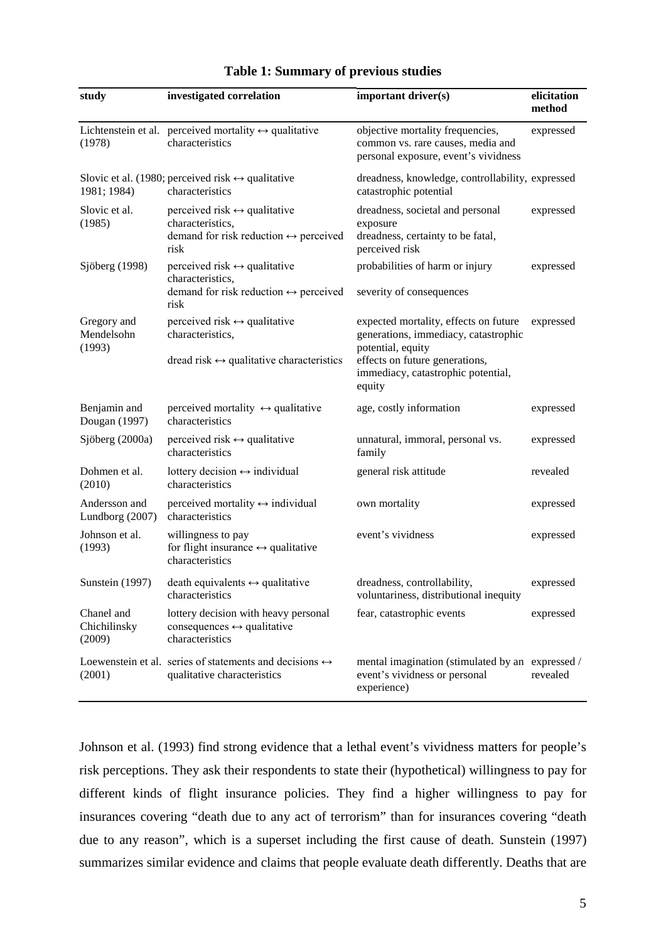| study                                | investigated correlation                                                                                                          | important driver(s)                                                                                           | elicitation<br>method |
|--------------------------------------|-----------------------------------------------------------------------------------------------------------------------------------|---------------------------------------------------------------------------------------------------------------|-----------------------|
| (1978)                               | Lichtenstein et al. perceived mortality $\leftrightarrow$ qualitative<br>characteristics                                          | objective mortality frequencies,<br>common vs. rare causes, media and<br>personal exposure, event's vividness | expressed             |
| 1981; 1984)                          | Slovic et al. (1980; perceived risk $\leftrightarrow$ qualitative<br>characteristics                                              | dreadness, knowledge, controllability, expressed<br>catastrophic potential                                    |                       |
| Slovic et al.<br>(1985)              | perceived risk $\leftrightarrow$ qualitative<br>characteristics.<br>demand for risk reduction $\leftrightarrow$ perceived<br>risk | dreadness, societal and personal<br>exposure<br>dreadness, certainty to be fatal,<br>perceived risk           | expressed             |
| Sjöberg (1998)                       | perceived risk $\leftrightarrow$ qualitative<br>characteristics,                                                                  | probabilities of harm or injury                                                                               | expressed             |
|                                      | demand for risk reduction $\leftrightarrow$ perceived<br>risk                                                                     | severity of consequences                                                                                      |                       |
| Gregory and<br>Mendelsohn            | perceived risk $\leftrightarrow$ qualitative<br>characteristics,                                                                  | expected mortality, effects on future<br>generations, immediacy, catastrophic                                 | expressed             |
| (1993)                               | dread risk $\leftrightarrow$ qualitative characteristics                                                                          | potential, equity<br>effects on future generations,<br>immediacy, catastrophic potential,<br>equity           |                       |
| Benjamin and<br>Dougan (1997)        | perceived mortality $\leftrightarrow$ qualitative<br>characteristics                                                              | age, costly information                                                                                       | expressed             |
| Sjöberg (2000a)                      | perceived risk $\leftrightarrow$ qualitative<br>characteristics                                                                   | unnatural, immoral, personal vs.<br>family                                                                    | expressed             |
| Dohmen et al.<br>(2010)              | lottery decision $\leftrightarrow$ individual<br>characteristics                                                                  | general risk attitude                                                                                         | revealed              |
| Andersson and<br>Lundborg (2007)     | perceived mortality $\leftrightarrow$ individual<br>characteristics                                                               | own mortality                                                                                                 | expressed             |
| Johnson et al.<br>(1993)             | willingness to pay<br>for flight insurance $\leftrightarrow$ qualitative<br>characteristics                                       | event's vividness                                                                                             | expressed             |
| Sunstein (1997)                      | death equivalents $\leftrightarrow$ qualitative<br>characteristics                                                                | dreadness, controllability,<br>voluntariness, distributional inequity                                         | expressed             |
| Chanel and<br>Chichilinsky<br>(2009) | lottery decision with heavy personal<br>consequences $\leftrightarrow$ qualitative<br>characteristics                             | fear, catastrophic events                                                                                     | expressed             |
| (2001)                               | Loewenstein et al. series of statements and decisions $\leftrightarrow$<br>qualitative characteristics                            | mental imagination (stimulated by an expressed /<br>event's vividness or personal<br>experience)              | revealed              |

## **Table 1: Summary of previous studies**

Johnson et al. (1993) find strong evidence that a lethal event's vividness matters for people's risk perceptions. They ask their respondents to state their (hypothetical) willingness to pay for different kinds of flight insurance policies. They find a higher willingness to pay for insurances covering "death due to any act of terrorism" than for insurances covering "death due to any reason", which is a superset including the first cause of death. Sunstein (1997) summarizes similar evidence and claims that people evaluate death differently. Deaths that are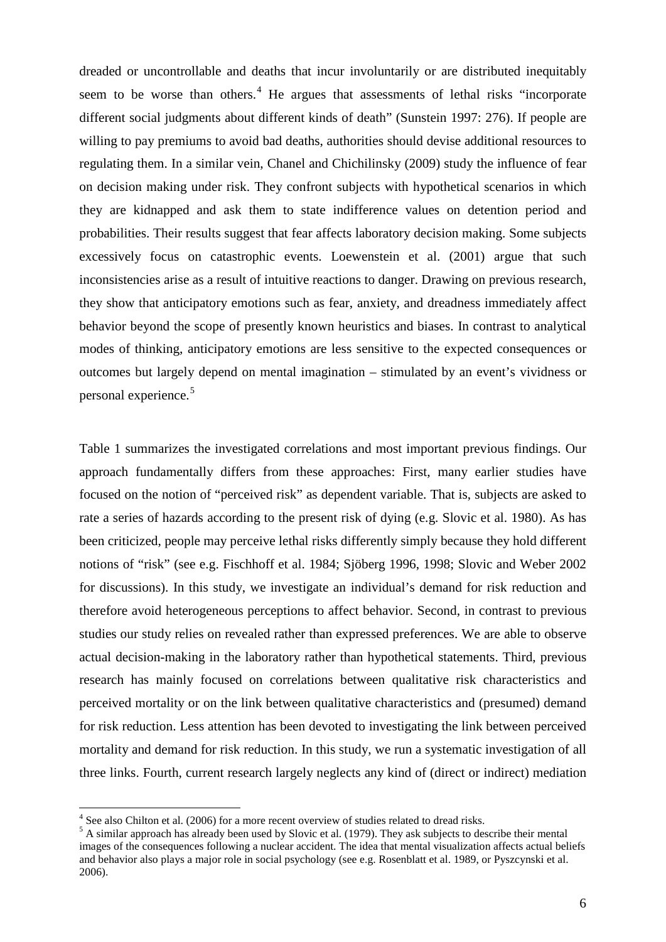dreaded or uncontrollable and deaths that incur involuntarily or are distributed inequitably seem to be worse than others.<sup>[4](#page-5-0)</sup> He argues that assessments of lethal risks "incorporate different social judgments about different kinds of death" (Sunstein 1997: 276). If people are willing to pay premiums to avoid bad deaths, authorities should devise additional resources to regulating them. In a similar vein, Chanel and Chichilinsky (2009) study the influence of fear on decision making under risk. They confront subjects with hypothetical scenarios in which they are kidnapped and ask them to state indifference values on detention period and probabilities. Their results suggest that fear affects laboratory decision making. Some subjects excessively focus on catastrophic events. Loewenstein et al. (2001) argue that such inconsistencies arise as a result of intuitive reactions to danger. Drawing on previous research, they show that anticipatory emotions such as fear, anxiety, and dreadness immediately affect behavior beyond the scope of presently known heuristics and biases. In contrast to analytical modes of thinking, anticipatory emotions are less sensitive to the expected consequences or outcomes but largely depend on mental imagination – stimulated by an event's vividness or personal experience.<sup>[5](#page-8-0)</sup>

Table 1 summarizes the investigated correlations and most important previous findings. Our approach fundamentally differs from these approaches: First, many earlier studies have focused on the notion of "perceived risk" as dependent variable. That is, subjects are asked to rate a series of hazards according to the present risk of dying (e.g. Slovic et al. 1980). As has been criticized, people may perceive lethal risks differently simply because they hold different notions of "risk" (see e.g. Fischhoff et al. 1984; Sjöberg 1996, 1998; Slovic and Weber 2002 for discussions). In this study, we investigate an individual's demand for risk reduction and therefore avoid heterogeneous perceptions to affect behavior. Second, in contrast to previous studies our study relies on revealed rather than expressed preferences. We are able to observe actual decision-making in the laboratory rather than hypothetical statements. Third, previous research has mainly focused on correlations between qualitative risk characteristics and perceived mortality or on the link between qualitative characteristics and (presumed) demand for risk reduction. Less attention has been devoted to investigating the link between perceived mortality and demand for risk reduction. In this study, we run a systematic investigation of all three links. Fourth, current research largely neglects any kind of (direct or indirect) mediation

<span id="page-8-0"></span><sup>&</sup>lt;sup>4</sup> See also Chilton et al. (2006) for a more recent overview of studies related to dread risks.<br><sup>5</sup> A similar approach has already been used by Slovic et al. (1979). They ask subjects to describe their mental images of the consequences following a nuclear accident. The idea that mental visualization affects actual beliefs and behavior also plays a major role in social psychology (see e.g. Rosenblatt et al. 1989, or Pyszcynski et al. 2006).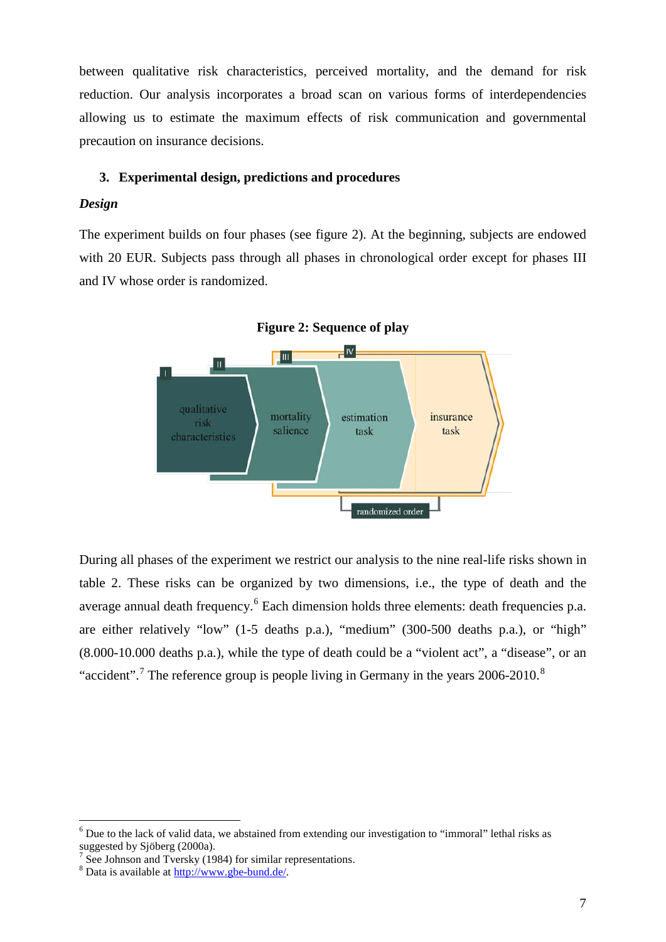between qualitative risk characteristics, perceived mortality, and the demand for risk reduction. Our analysis incorporates a broad scan on various forms of interdependencies allowing us to estimate the maximum effects of risk communication and governmental precaution on insurance decisions.

## **3. Experimental design, predictions and procedures**

### *Design*

The experiment builds on four phases (see figure 2). At the beginning, subjects are endowed with 20 EUR. Subjects pass through all phases in chronological order except for phases III and IV whose order is randomized.



During all phases of the experiment we restrict our analysis to the nine real-life risks shown in table 2. These risks can be organized by two dimensions, i.e., the type of death and the average annual death frequency.<sup>[6](#page-8-0)</sup> Each dimension holds three elements: death frequencies p.a. are either relatively "low" (1-5 deaths p.a.), "medium" (300-500 deaths p.a.), or "high" (8.000-10.000 deaths p.a.), while the type of death could be a "violent act", a "disease", or an "accident".<sup>[7](#page-9-0)</sup> The reference group is people living in Germany in the years  $2006-2010$ .<sup>[8](#page-9-1)</sup>

<sup>&</sup>lt;sup>6</sup> Due to the lack of valid data, we abstained from extending our investigation to "immoral" lethal risks as suggested by Sjöberg (2000a).

<span id="page-9-0"></span> $\frac{7}{1}$  See Johnson and Tversky (1984) for similar representations.

<span id="page-9-1"></span><sup>&</sup>lt;sup>8</sup> Data is available at [http://www.gbe-bund.de/.](http://www.gbe-bund.de/)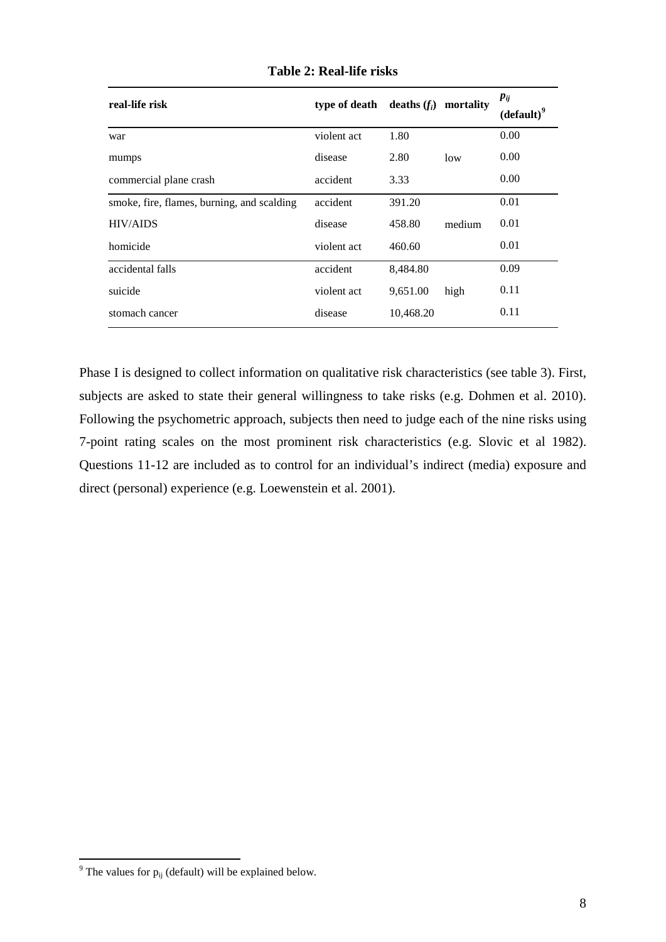| real-life risk                             | type of death deaths $(f_i)$ |           | mortality | $p_{ij}$<br>$(default)^9$ |
|--------------------------------------------|------------------------------|-----------|-----------|---------------------------|
| war                                        | violent act                  | 1.80      |           | 0.00                      |
| mumps                                      | disease                      | 2.80      | low       | 0.00                      |
| commercial plane crash                     | accident                     | 3.33      |           | 0.00                      |
| smoke, fire, flames, burning, and scalding | accident                     | 391.20    |           | 0.01                      |
| <b>HIV/AIDS</b>                            | disease                      | 458.80    | medium    | 0.01                      |
| homicide                                   | violent act                  | 460.60    |           | 0.01                      |
| accidental falls                           | accident                     | 8,484.80  |           | 0.09                      |
| suicide                                    | violent act                  | 9,651.00  | high      | 0.11                      |
| stomach cancer                             | disease                      | 10,468.20 |           | 0.11                      |

**Table 2: Real-life risks**

Phase I is designed to collect information on qualitative risk characteristics (see table 3). First, subjects are asked to state their general willingness to take risks (e.g. Dohmen et al. 2010). Following the psychometric approach, subjects then need to judge each of the nine risks using 7-point rating scales on the most prominent risk characteristics (e.g. Slovic et al 1982). Questions 11-12 are included as to control for an individual's indirect (media) exposure and direct (personal) experience (e.g. Loewenstein et al. 2001).

<span id="page-10-0"></span> $9$  The values for  $p_{ij}$  (default) will be explained below.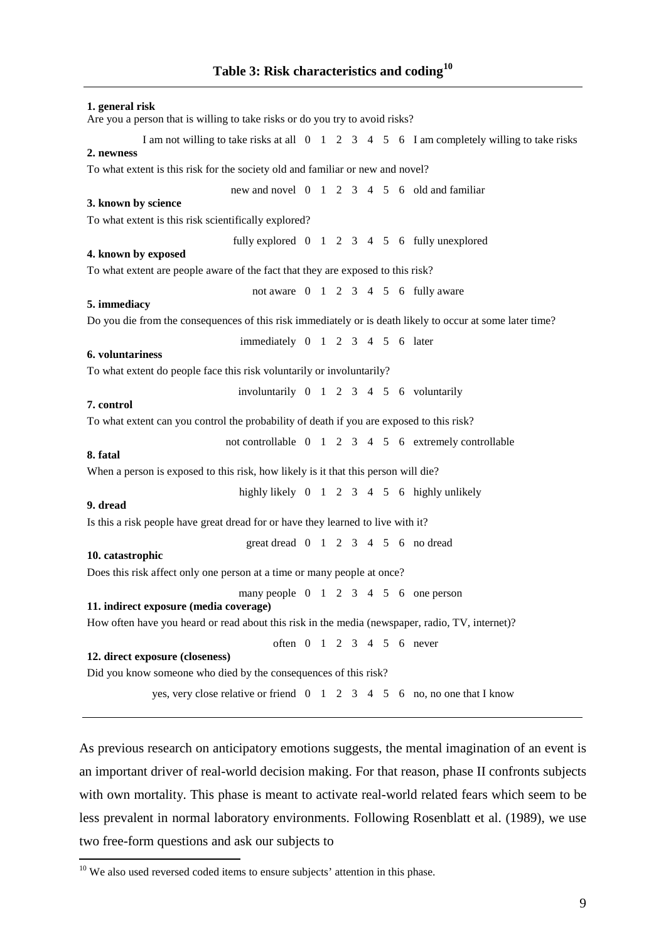## **1. general risk** Are you a person that is willing to take risks or do you try to avoid risks? I am not willing to take risks at all 0 1 2 3 4 5 6 I am completely willing to take risks **2. newness** To what extent is this risk for the society old and familiar or new and novel? new and novel 0 1 2 3 4 5 6 old and familiar **3. known by science** To what extent is this risk scientifically explored? fully explored 0 1 2 3 4 5 6 fully unexplored **4. known by exposed** To what extent are people aware of the fact that they are exposed to this risk? not aware  $0 \t1 \t2 \t3 \t4 \t5 \t6 \t fully aware$ **5. immediacy** Do you die from the consequences of this risk immediately or is death likely to occur at some later time? immediately 0 1 2 3 4 5 6 later **6. voluntariness** To what extent do people face this risk voluntarily or involuntarily? involuntarily 0 1 2 3 4 5 6 voluntarily **7. control** To what extent can you control the probability of death if you are exposed to this risk? not controllable 0 1 2 3 4 5 6 extremely controllable **8. fatal** When a person is exposed to this risk, how likely is it that this person will die? highly likely  $0 \t1 \t2 \t3 \t4 \t5 \t6$  highly unlikely **9. dread** Is this a risk people have great dread for or have they learned to live with it? great dread 0 1 2 3 4 5 6 no dread **10. catastrophic** Does this risk affect only one person at a time or many people at once? many people  $0 \t1 \t2 \t3 \t4 \t5 \t6$  one person **11. indirect exposure (media coverage)** How often have you heard or read about this risk in the media (newspaper, radio, TV, internet)? often 0 1 2 3 4 5 6 never **12. direct exposure (closeness)** Did you know someone who died by the consequences of this risk? yes, very close relative or friend 0 1 2 3 4 5 6 no, no one that I know

As previous research on anticipatory emotions suggests, the mental imagination of an event is an important driver of real-world decision making. For that reason, phase II confronts subjects with own mortality. This phase is meant to activate real-world related fears which seem to be less prevalent in normal laboratory environments. Following Rosenblatt et al. (1989), we use two free-form questions and ask our subjects to

<span id="page-11-0"></span><sup>&</sup>lt;sup>10</sup> We also used reversed coded items to ensure subjects' attention in this phase.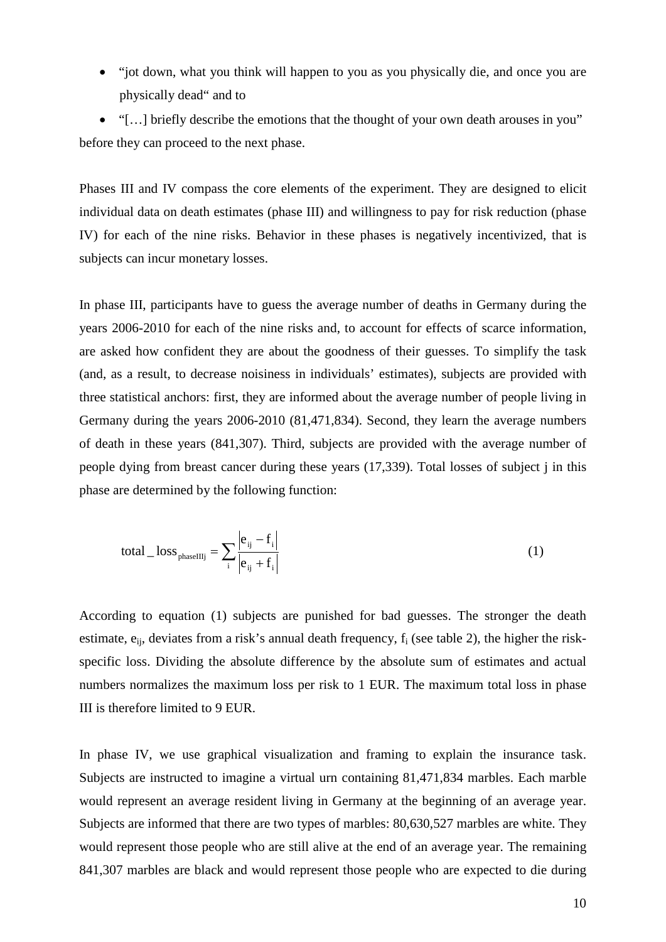• "jot down, what you think will happen to you as you physically die, and once you are physically dead" and to

• "[…] briefly describe the emotions that the thought of your own death arouses in you" before they can proceed to the next phase.

Phases III and IV compass the core elements of the experiment. They are designed to elicit individual data on death estimates (phase III) and willingness to pay for risk reduction (phase IV) for each of the nine risks. Behavior in these phases is negatively incentivized, that is subjects can incur monetary losses.

In phase III, participants have to guess the average number of deaths in Germany during the years 2006-2010 for each of the nine risks and, to account for effects of scarce information, are asked how confident they are about the goodness of their guesses. To simplify the task (and, as a result, to decrease noisiness in individuals' estimates), subjects are provided with three statistical anchors: first, they are informed about the average number of people living in Germany during the years 2006-2010 (81,471,834). Second, they learn the average numbers of death in these years (841,307). Third, subjects are provided with the average number of people dying from breast cancer during these years (17,339). Total losses of subject j in this phase are determined by the following function:

$$
\text{total} \_\text{loss} = \sum_{i} \frac{\left| e_{ij} - f_i \right|}{\left| e_{ij} + f_i \right|} \tag{1}
$$

According to equation (1) subjects are punished for bad guesses. The stronger the death estimate,  $e_{ii}$ , deviates from a risk's annual death frequency,  $f_i$  (see table 2), the higher the riskspecific loss. Dividing the absolute difference by the absolute sum of estimates and actual numbers normalizes the maximum loss per risk to 1 EUR. The maximum total loss in phase III is therefore limited to 9 EUR.

In phase IV, we use graphical visualization and framing to explain the insurance task. Subjects are instructed to imagine a virtual urn containing 81,471,834 marbles. Each marble would represent an average resident living in Germany at the beginning of an average year. Subjects are informed that there are two types of marbles: 80,630,527 marbles are white. They would represent those people who are still alive at the end of an average year. The remaining 841,307 marbles are black and would represent those people who are expected to die during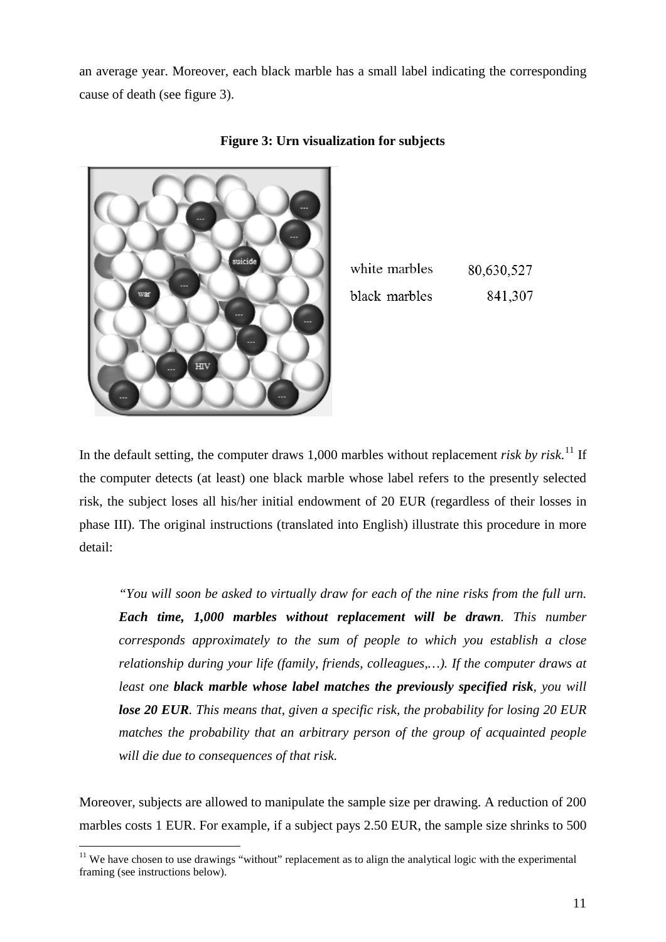an average year. Moreover, each black marble has a small label indicating the corresponding cause of death (see figure 3).



| <b>Figure 3: Urn visualization for subjects</b> |
|-------------------------------------------------|
|-------------------------------------------------|

| white marbles | 80,630,527 |
|---------------|------------|
| black marbles | 841,307    |

In the default setting, the computer draws 1,000 marbles without replacement *risk by risk*. [11](#page-11-0) If the computer detects (at least) one black marble whose label refers to the presently selected risk, the subject loses all his/her initial endowment of 20 EUR (regardless of their losses in phase III). The original instructions (translated into English) illustrate this procedure in more detail:

*"You will soon be asked to virtually draw for each of the nine risks from the full urn. Each time, 1,000 marbles without replacement will be drawn. This number corresponds approximately to the sum of people to which you establish a close relationship during your life (family, friends, colleagues,…). If the computer draws at least one black marble whose label matches the previously specified risk, you will lose 20 EUR. This means that, given a specific risk, the probability for losing 20 EUR matches the probability that an arbitrary person of the group of acquainted people will die due to consequences of that risk.* 

Moreover, subjects are allowed to manipulate the sample size per drawing. A reduction of 200 marbles costs 1 EUR. For example, if a subject pays 2.50 EUR, the sample size shrinks to 500

<span id="page-13-0"></span><sup>&</sup>lt;sup>11</sup> We have chosen to use drawings "without" replacement as to align the analytical logic with the experimental framing (see instructions below).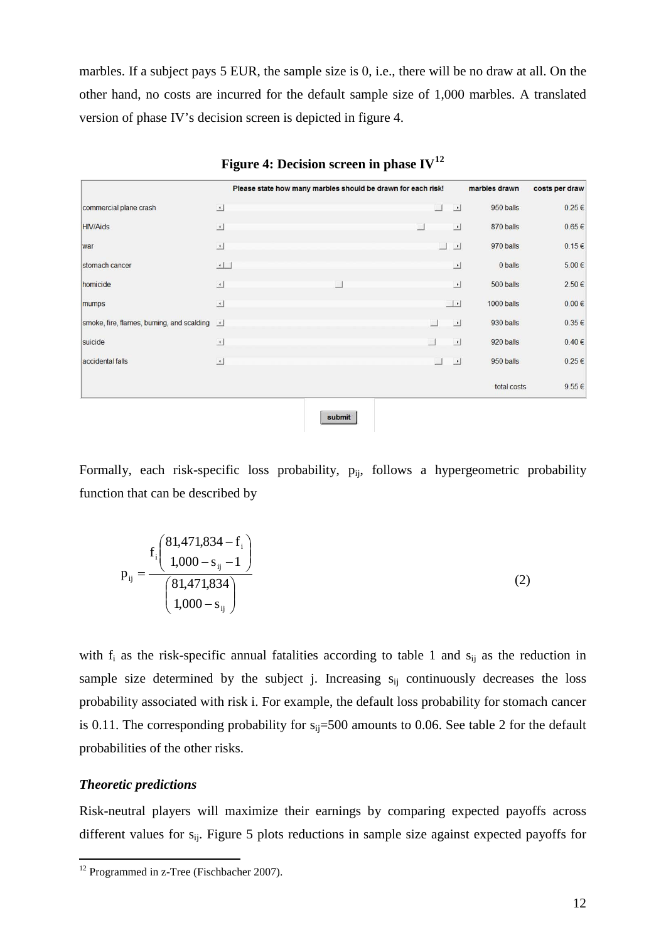marbles. If a subject pays 5 EUR, the sample size is 0, i.e., there will be no draw at all. On the other hand, no costs are incurred for the default sample size of 1,000 marbles. A translated version of phase IV's decision screen is depicted in figure 4.

|                                              |                      | Please state how many marbles should be drawn for each risk! |                          |          |                          | marbles drawn | costs per draw |
|----------------------------------------------|----------------------|--------------------------------------------------------------|--------------------------|----------|--------------------------|---------------|----------------|
| commercial plane crash                       | $\Delta$             |                                                              |                          | $\Box$   | $\vert$                  | 950 balls     | 0.25€          |
| <b>HIV/Aids</b>                              | $\overline{.}$       |                                                              | $\overline{\phantom{a}}$ |          | 그                        | 870 balls     | $0.65 \in$     |
| war                                          | ᆀ                    |                                                              |                          | ⊐        | 그                        | 970 balls     | $0.15 \in$     |
| stomach cancer                               | $\frac{1}{\sqrt{2}}$ |                                                              |                          |          | 킈                        | 0 balls       | 5.00€          |
| homicide                                     | $\overline{.}$       |                                                              |                          |          | $\overline{\phantom{a}}$ | 500 balls     | 2.50€          |
| mumps                                        | ᆀ                    |                                                              |                          | $\perp$  |                          | 1000 balls    | $0.00 \in$     |
| smoke, fire, flames, burning, and scalding 1 |                      |                                                              |                          |          | $\overline{a}$           | 930 balls     | 0.35€          |
| suicide                                      | $\Delta$             |                                                              |                          |          | $\overline{a}$           | 920 balls     | $0.40 \in$     |
| accidental falls                             | $\overline{1}$       |                                                              |                          | $\sim$ . | $\overline{a}$           | 950 balls     | 0.25€          |
|                                              |                      |                                                              |                          |          |                          | total costs   | 9.55€          |
|                                              |                      | submit                                                       |                          |          |                          |               |                |

**Figure 4: Decision screen in phase IV[12](#page-13-0)**

Formally, each risk-specific loss probability,  $p_{ii}$ , follows a hypergeometric probability function that can be described by

$$
p_{ij} = \frac{f_i \left(\frac{81,471,834 - f_i}{1,000 - s_{ij} - 1}\right)}{\left(\frac{81,471,834}{1,000 - s_{ij}}\right)}
$$
(2)

with  $f_i$  as the risk-specific annual fatalities according to table 1 and  $s_{ij}$  as the reduction in sample size determined by the subject j. Increasing  $s_{ii}$  continuously decreases the loss probability associated with risk i. For example, the default loss probability for stomach cancer is 0.11. The corresponding probability for  $s_{ij}=500$  amounts to 0.06. See table 2 for the default probabilities of the other risks.

## *Theoretic predictions*

<span id="page-14-0"></span>Risk-neutral players will maximize their earnings by comparing expected payoffs across different values for s<sub>ij</sub>. Figure 5 plots reductions in sample size against expected payoffs for

<sup>&</sup>lt;sup>12</sup> Programmed in z-Tree (Fischbacher 2007).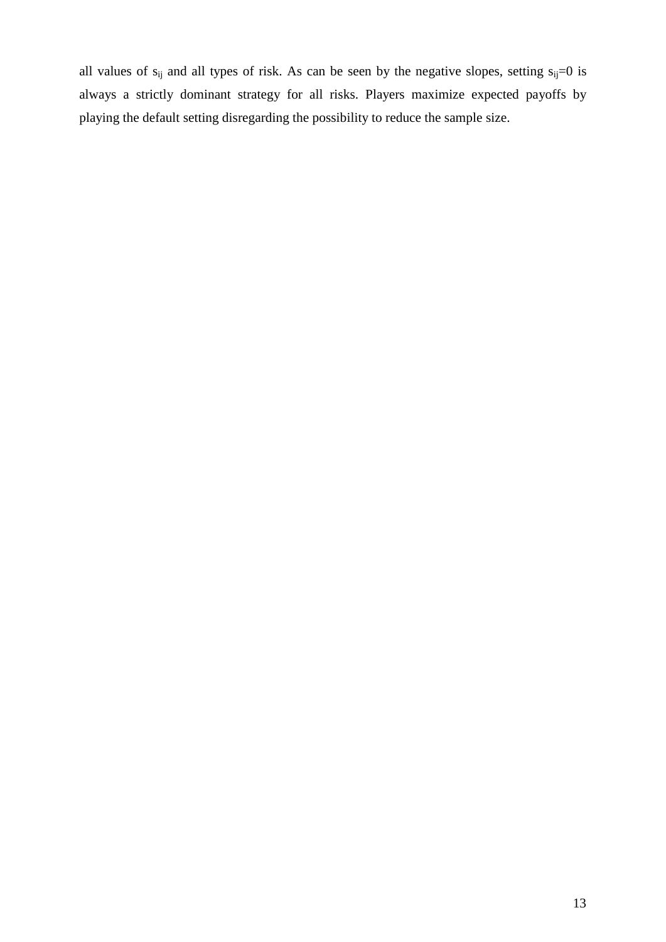all values of  $s_{ij}$  and all types of risk. As can be seen by the negative slopes, setting  $s_{ij}=0$  is always a strictly dominant strategy for all risks. Players maximize expected payoffs by playing the default setting disregarding the possibility to reduce the sample size.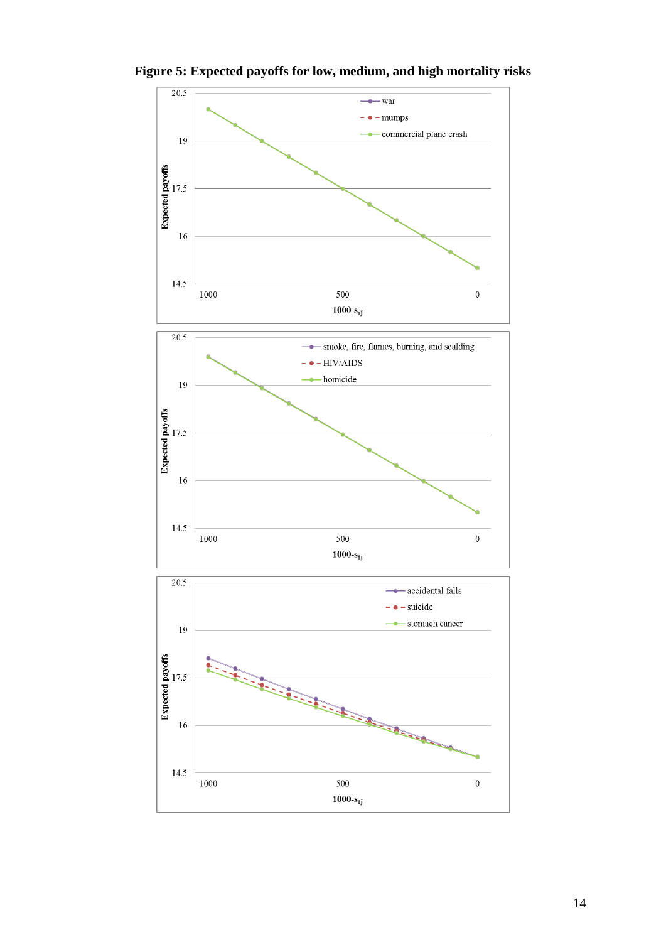

**Figure 5: Expected payoffs for low, medium, and high mortality risks**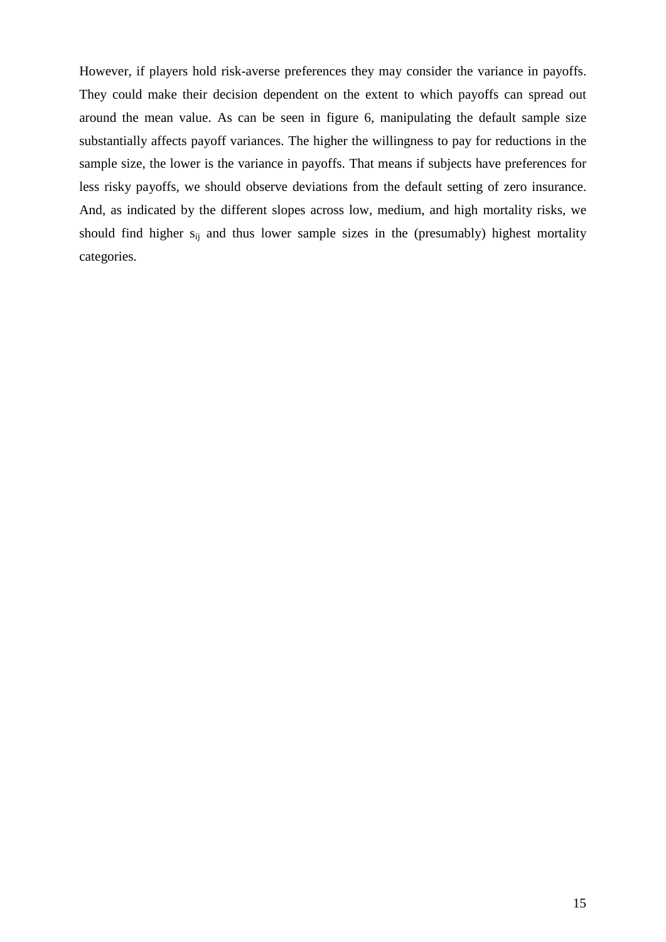However, if players hold risk-averse preferences they may consider the variance in payoffs. They could make their decision dependent on the extent to which payoffs can spread out around the mean value. As can be seen in figure 6, manipulating the default sample size substantially affects payoff variances. The higher the willingness to pay for reductions in the sample size, the lower is the variance in payoffs. That means if subjects have preferences for less risky payoffs, we should observe deviations from the default setting of zero insurance. And, as indicated by the different slopes across low, medium, and high mortality risks, we should find higher  $s_{ij}$  and thus lower sample sizes in the (presumably) highest mortality categories.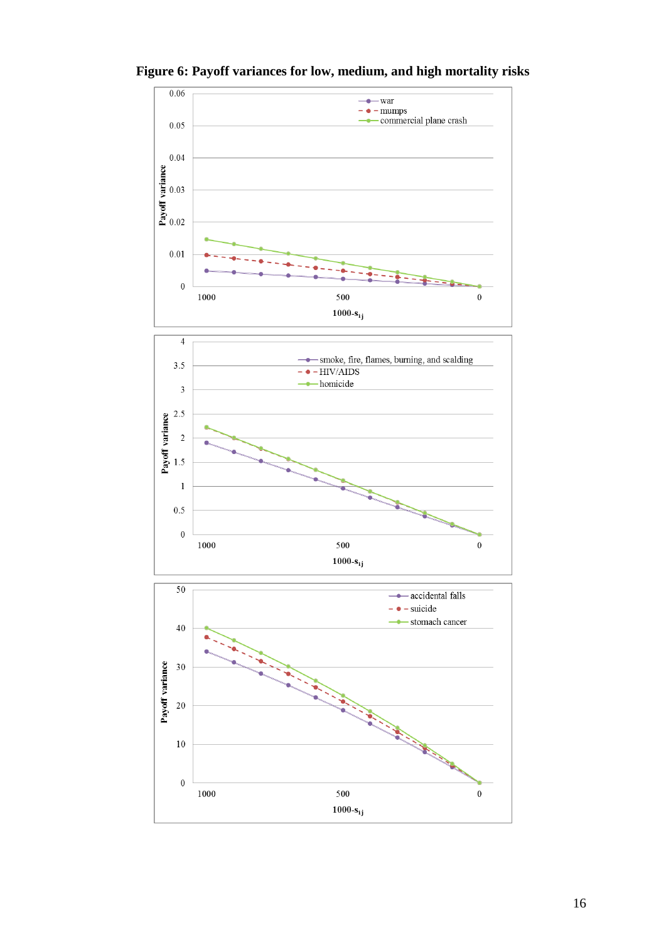

**Figure 6: Payoff variances for low, medium, and high mortality risks**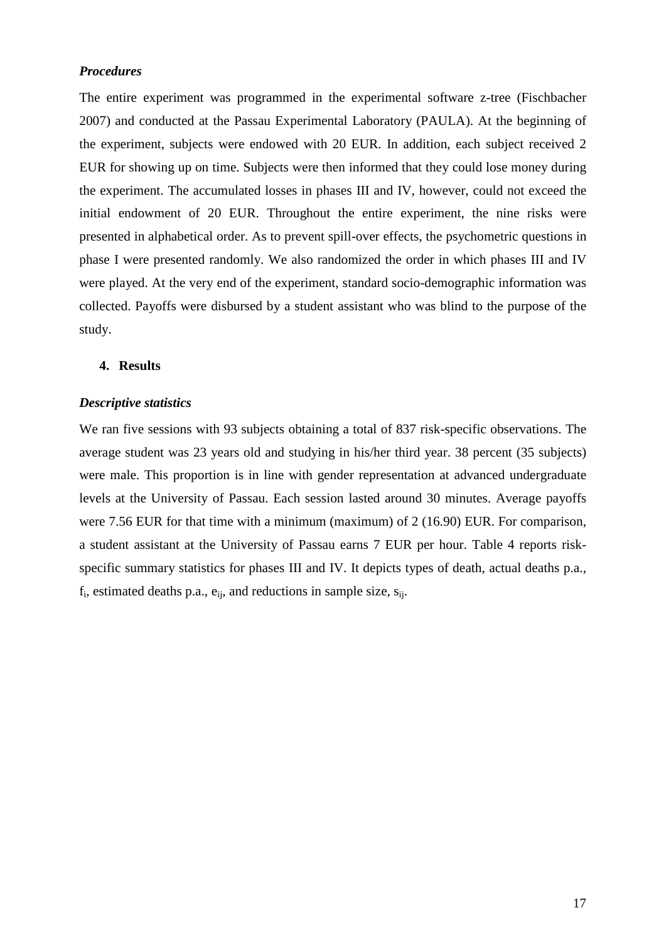## *Procedures*

The entire experiment was programmed in the experimental software z-tree (Fischbacher 2007) and conducted at the Passau Experimental Laboratory (PAULA). At the beginning of the experiment, subjects were endowed with 20 EUR. In addition, each subject received 2 EUR for showing up on time. Subjects were then informed that they could lose money during the experiment. The accumulated losses in phases III and IV, however, could not exceed the initial endowment of 20 EUR. Throughout the entire experiment, the nine risks were presented in alphabetical order. As to prevent spill-over effects, the psychometric questions in phase I were presented randomly. We also randomized the order in which phases III and IV were played. At the very end of the experiment, standard socio-demographic information was collected. Payoffs were disbursed by a student assistant who was blind to the purpose of the study.

## **4. Results**

### *Descriptive statistics*

We ran five sessions with 93 subjects obtaining a total of 837 risk-specific observations. The average student was 23 years old and studying in his/her third year. 38 percent (35 subjects) were male. This proportion is in line with gender representation at advanced undergraduate levels at the University of Passau. Each session lasted around 30 minutes. Average payoffs were 7.56 EUR for that time with a minimum (maximum) of 2 (16.90) EUR. For comparison, a student assistant at the University of Passau earns 7 EUR per hour. Table 4 reports riskspecific summary statistics for phases III and IV. It depicts types of death, actual deaths p.a.,  $f_i$ , estimated deaths p.a.,  $e_{ij}$ , and reductions in sample size,  $s_{ij}$ .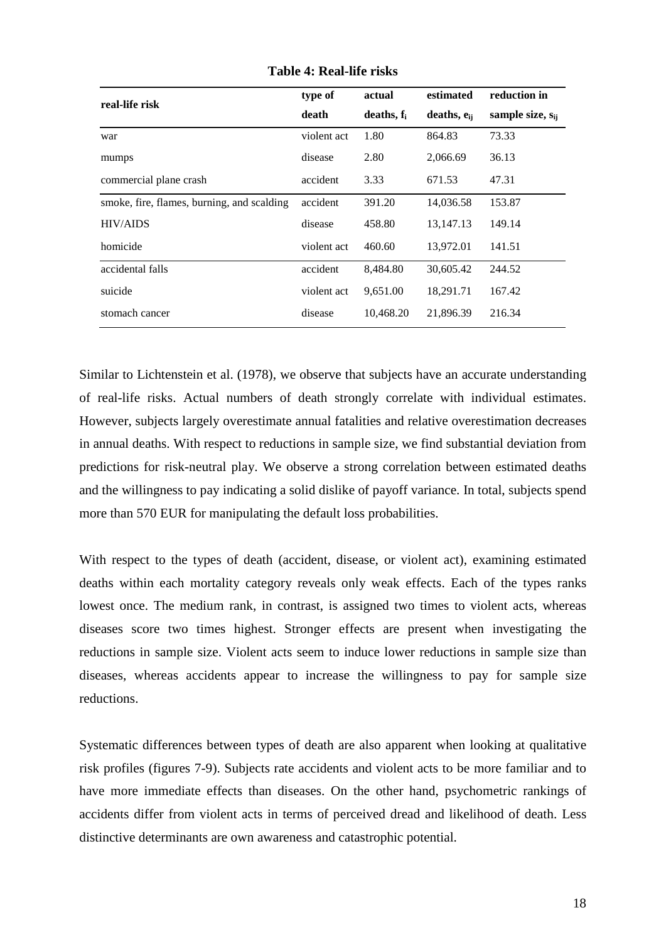| real-life risk                             | type of     | actual        | estimated        | reduction in          |  |
|--------------------------------------------|-------------|---------------|------------------|-----------------------|--|
|                                            | death       | deaths, $f_i$ | deaths, $e_{ii}$ | sample size, $s_{ij}$ |  |
| war                                        | violent act | 1.80          | 864.83           | 73.33                 |  |
| mumps                                      | disease     | 2.80          | 2,066.69         | 36.13                 |  |
| commercial plane crash                     | accident    | 3.33          | 671.53           | 47.31                 |  |
| smoke, fire, flames, burning, and scalding | accident    | 391.20        | 14,036.58        | 153.87                |  |
| <b>HIV/AIDS</b>                            | disease     | 458.80        | 13, 147. 13      | 149.14                |  |
| homicide                                   | violent act | 460.60        | 13,972.01        | 141.51                |  |
| accidental falls                           | accident    | 8.484.80      | 30,605.42        | 244.52                |  |
| suicide                                    | violent act | 9,651.00      | 18,291.71        | 167.42                |  |
| stomach cancer                             | disease     | 10,468.20     | 21,896.39        | 216.34                |  |

**Table 4: Real-life risks**

Similar to Lichtenstein et al. (1978), we observe that subjects have an accurate understanding of real-life risks. Actual numbers of death strongly correlate with individual estimates. However, subjects largely overestimate annual fatalities and relative overestimation decreases in annual deaths. With respect to reductions in sample size, we find substantial deviation from predictions for risk-neutral play. We observe a strong correlation between estimated deaths and the willingness to pay indicating a solid dislike of payoff variance. In total, subjects spend more than 570 EUR for manipulating the default loss probabilities.

With respect to the types of death (accident, disease, or violent act), examining estimated deaths within each mortality category reveals only weak effects. Each of the types ranks lowest once. The medium rank, in contrast, is assigned two times to violent acts, whereas diseases score two times highest. Stronger effects are present when investigating the reductions in sample size. Violent acts seem to induce lower reductions in sample size than diseases, whereas accidents appear to increase the willingness to pay for sample size reductions.

Systematic differences between types of death are also apparent when looking at qualitative risk profiles (figures 7-9). Subjects rate accidents and violent acts to be more familiar and to have more immediate effects than diseases. On the other hand, psychometric rankings of accidents differ from violent acts in terms of perceived dread and likelihood of death. Less distinctive determinants are own awareness and catastrophic potential.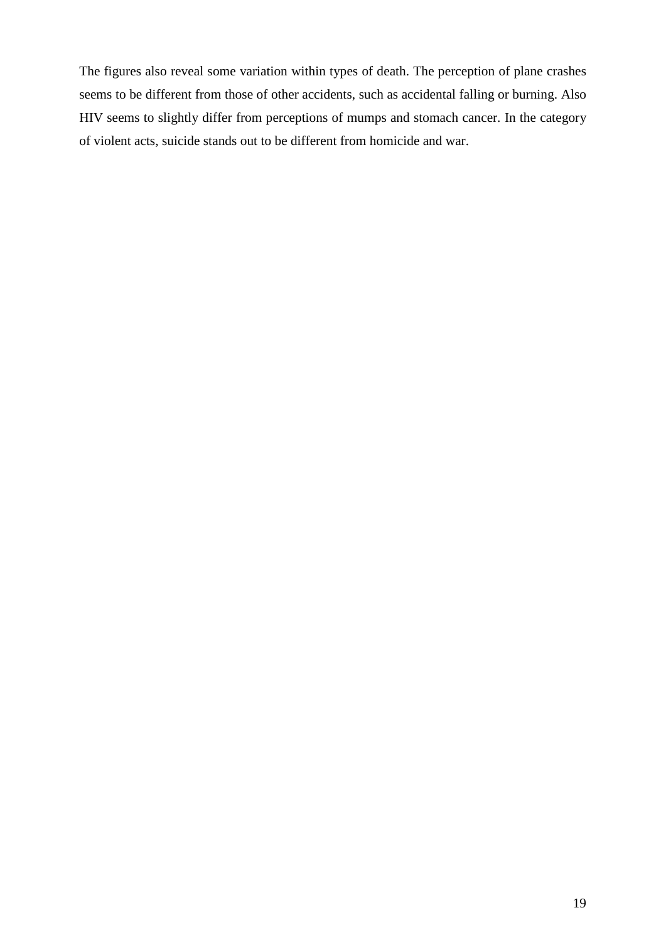The figures also reveal some variation within types of death. The perception of plane crashes seems to be different from those of other accidents, such as accidental falling or burning. Also HIV seems to slightly differ from perceptions of mumps and stomach cancer. In the category of violent acts, suicide stands out to be different from homicide and war.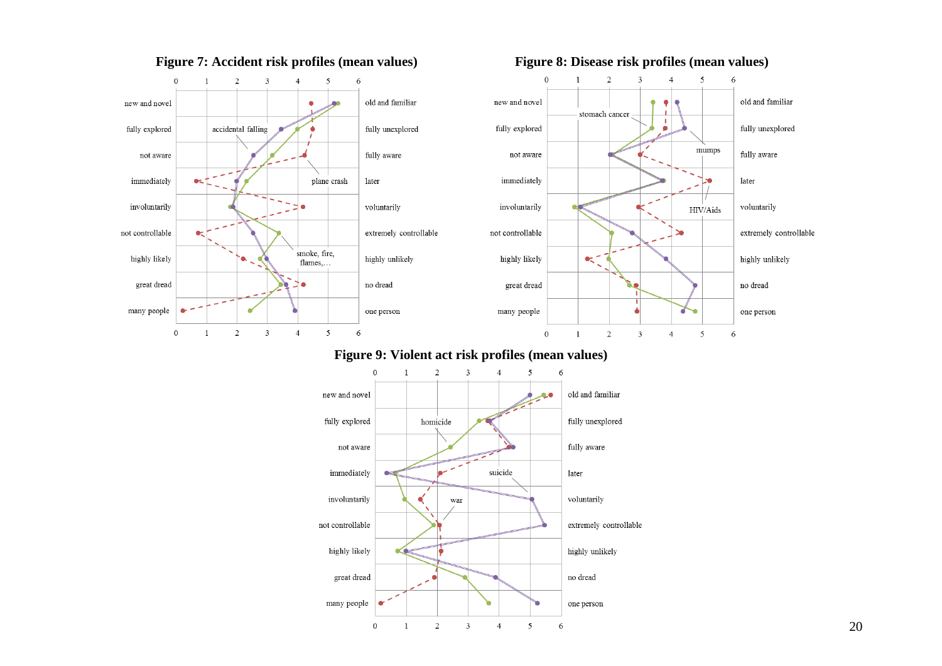

## **Figure 7: Accident risk profiles (mean values) Figure 8: Disease risk profiles (mean values)**

6

۰e

old and familiar

fully unexplored

fully aware

voluntarily

highly unlikely

no dread

one person

6

extremely controllable

later

## **Figure 9: Violent act risk profiles (mean values)**

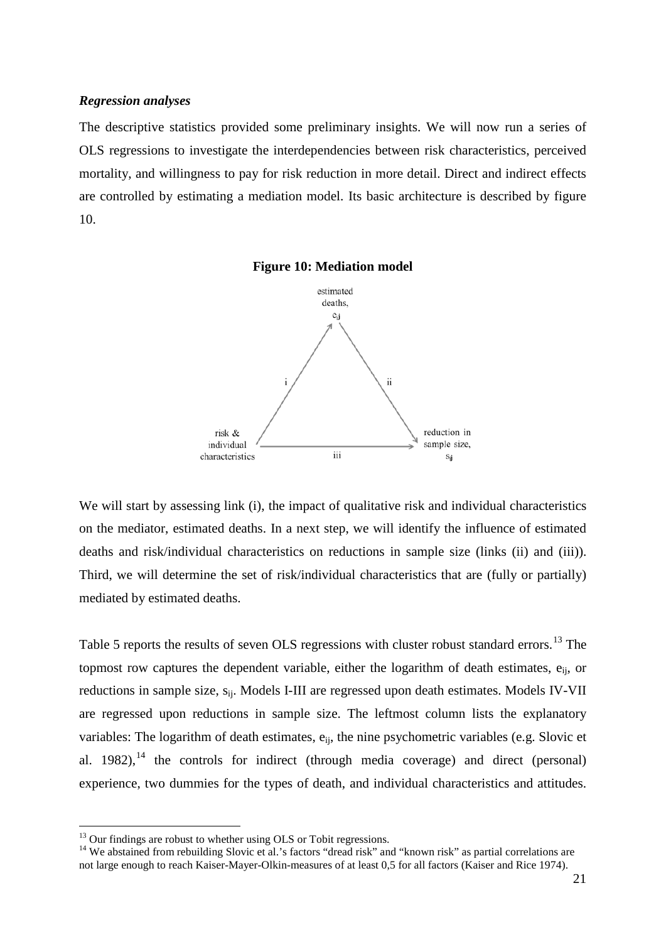#### *Regression analyses*

The descriptive statistics provided some preliminary insights. We will now run a series of OLS regressions to investigate the interdependencies between risk characteristics, perceived mortality, and willingness to pay for risk reduction in more detail. Direct and indirect effects are controlled by estimating a mediation model. Its basic architecture is described by figure 10.



**Figure 10: Mediation model**

We will start by assessing link (i), the impact of qualitative risk and individual characteristics on the mediator, estimated deaths. In a next step, we will identify the influence of estimated deaths and risk/individual characteristics on reductions in sample size (links (ii) and (iii)). Third, we will determine the set of risk/individual characteristics that are (fully or partially) mediated by estimated deaths.

Table 5 reports the results of seven OLS regressions with cluster robust standard errors.<sup>[13](#page-14-0)</sup> The topmost row captures the dependent variable, either the logarithm of death estimates, eij, or reductions in sample size, s<sub>ij</sub>. Models I-III are regressed upon death estimates. Models IV-VII are regressed upon reductions in sample size. The leftmost column lists the explanatory variables: The logarithm of death estimates,  $e_{ii}$ , the nine psychometric variables (e.g. Slovic et al. 1982), $14$  the controls for indirect (through media coverage) and direct (personal) experience, two dummies for the types of death, and individual characteristics and attitudes.

<span id="page-23-0"></span><sup>&</sup>lt;sup>13</sup> Our findings are robust to whether using OLS or Tobit regressions.<br><sup>14</sup> We abstained from rebuilding Slovic et al.'s factors "dread risk" and "known risk" as partial correlations are not large enough to reach Kaiser-Mayer-Olkin-measures of at least 0,5 for all factors (Kaiser and Rice 1974).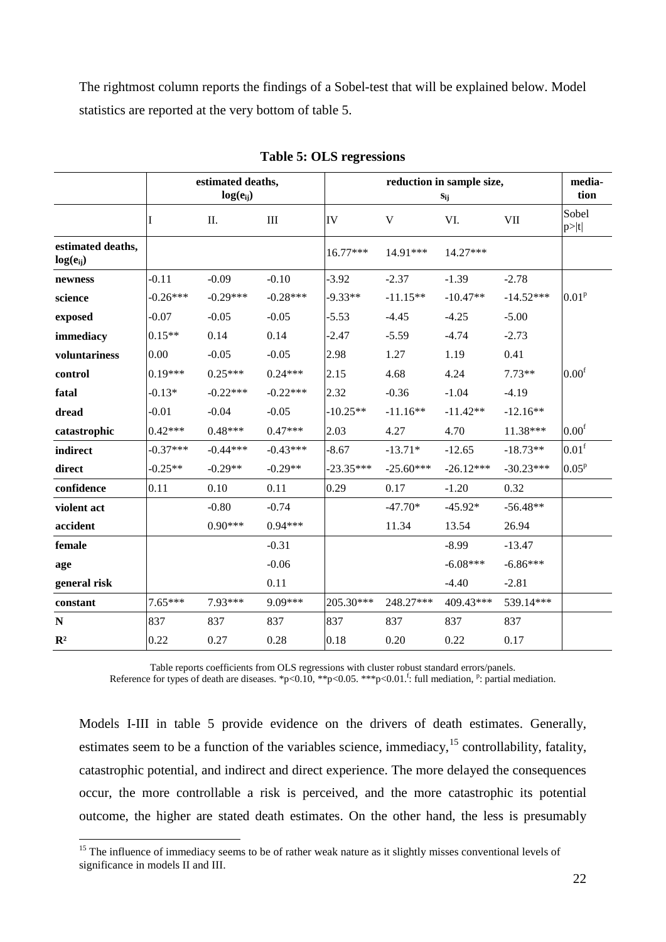The rightmost column reports the findings of a Sobel-test that will be explained below. Model statistics are reported at the very bottom of table 5.

|                                    | estimated deaths,<br>$log(e_{ii})$ |            |            | reduction in sample size,<br>$\mathbf{s}_{ij}$ |             |             |             | media-<br>tion    |
|------------------------------------|------------------------------------|------------|------------|------------------------------------------------|-------------|-------------|-------------|-------------------|
|                                    | I                                  | Π.         | III        | IV                                             | V           | VI.<br>VII  |             | Sobel<br>p> t     |
| estimated deaths,<br>$log(e_{ii})$ |                                    |            |            | $16.77***$                                     | $14.91***$  | $14.27***$  |             |                   |
| newness                            | $-0.11$                            | $-0.09$    | $-0.10$    | $-3.92$                                        | $-2.37$     | $-1.39$     | $-2.78$     |                   |
| science                            | $-0.26***$                         | $-0.29***$ | $-0.28***$ | $-9.33**$                                      | $-11.15**$  | $-10.47**$  | $-14.52***$ | 0.01 <sup>p</sup> |
| exposed                            | $-0.07$                            | $-0.05$    | $-0.05$    | $-5.53$                                        | $-4.45$     | $-4.25$     | $-5.00$     |                   |
| immediacy                          | $0.15**$                           | 0.14       | 0.14       | $-2.47$                                        | $-5.59$     | $-4.74$     | $-2.73$     |                   |
| voluntariness                      | 0.00                               | $-0.05$    | $-0.05$    | 2.98                                           | 1.27        | 1.19        | 0.41        |                   |
| control                            | $0.19***$                          | $0.25***$  | $0.24***$  | 2.15                                           | 4.68        | 4.24        | $7.73**$    | 0.00 <sup>f</sup> |
| fatal                              | $-0.13*$                           | $-0.22***$ | $-0.22***$ | 2.32                                           | $-0.36$     | $-1.04$     | $-4.19$     |                   |
| dread                              | $-0.01$                            | $-0.04$    | $-0.05$    | $-10.25**$                                     | $-11.16**$  | $-11.42**$  | $-12.16**$  |                   |
| catastrophic                       | $0.42***$                          | $0.48***$  | $0.47***$  | 2.03                                           | 4.27        | 4.70        | 11.38***    | 0.00 <sup>f</sup> |
| indirect                           | $-0.37***$                         | $-0.44***$ | $-0.43***$ | $-8.67$                                        | $-13.71*$   | $-12.65$    | $-18.73**$  | 0.01 <sup>f</sup> |
| direct                             | $-0.25**$                          | $-0.29**$  | $-0.29**$  | $-23.35***$                                    | $-25.60***$ | $-26.12***$ | $-30.23***$ | 0.05 <sup>p</sup> |
| confidence                         | 0.11                               | 0.10       | 0.11       | 0.29                                           | 0.17        | $-1.20$     | 0.32        |                   |
| violent act                        |                                    | $-0.80$    | $-0.74$    |                                                | $-47.70*$   | $-45.92*$   | $-56.48**$  |                   |
| accident                           |                                    | $0.90***$  | $0.94***$  |                                                | 11.34       | 13.54       | 26.94       |                   |
| female                             |                                    |            | $-0.31$    |                                                |             | $-8.99$     | $-13.47$    |                   |
| age                                |                                    |            | $-0.06$    |                                                |             | $-6.08***$  | $-6.86***$  |                   |
| general risk                       |                                    |            | 0.11       |                                                |             | $-4.40$     | $-2.81$     |                   |
| constant                           | $7.65***$                          | 7.93***    | 9.09***    | 205.30***                                      | 248.27***   | 409.43***   | 539.14***   |                   |
| ${\bf N}$                          | 837                                | 837        | 837        | 837                                            | 837         | 837         | 837         |                   |
| $\mathbb{R}^2$                     | 0.22                               | 0.27       | 0.28       | 0.18                                           | 0.20        | 0.22        | 0.17        |                   |

**Table 5: OLS regressions**

Table reports coefficients from OLS regressions with cluster robust standard errors/panels.

Reference for types of death are diseases. \*p<0.10, \*\*p<0.05. \*\*\*p<0.01. full mediation, <sup>p</sup>: partial mediation.

Models I-III in table 5 provide evidence on the drivers of death estimates. Generally, estimates seem to be a function of the variables science, immediacy,<sup>[15](#page-23-0)</sup> controllability, fatality, catastrophic potential, and indirect and direct experience. The more delayed the consequences occur, the more controllable a risk is perceived, and the more catastrophic its potential outcome, the higher are stated death estimates. On the other hand, the less is presumably

<span id="page-24-0"></span><sup>&</sup>lt;sup>15</sup> The influence of immediacy seems to be of rather weak nature as it slightly misses conventional levels of significance in models II and III.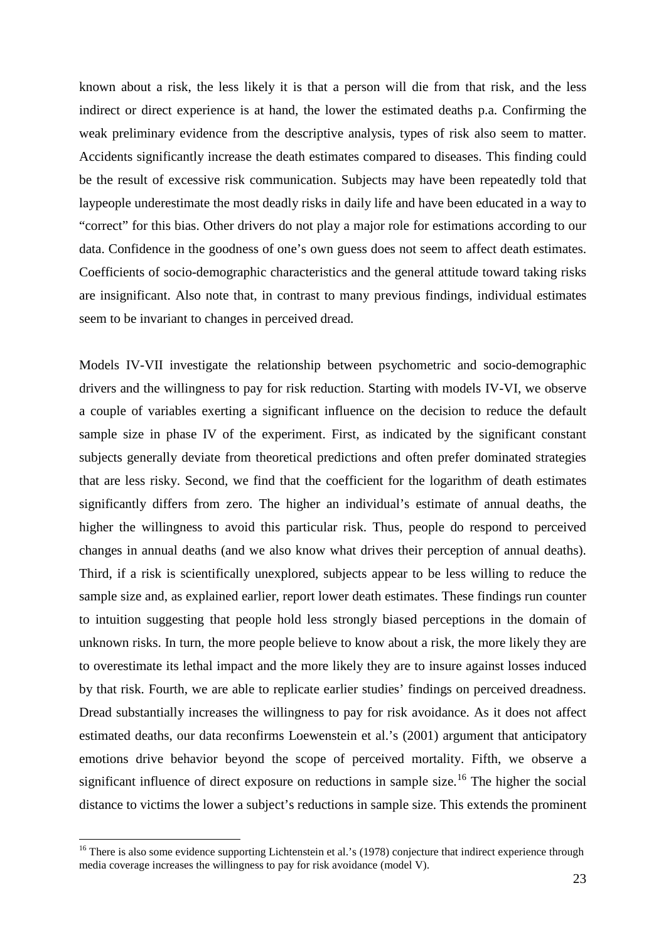known about a risk, the less likely it is that a person will die from that risk, and the less indirect or direct experience is at hand, the lower the estimated deaths p.a. Confirming the weak preliminary evidence from the descriptive analysis, types of risk also seem to matter. Accidents significantly increase the death estimates compared to diseases. This finding could be the result of excessive risk communication. Subjects may have been repeatedly told that laypeople underestimate the most deadly risks in daily life and have been educated in a way to "correct" for this bias. Other drivers do not play a major role for estimations according to our data. Confidence in the goodness of one's own guess does not seem to affect death estimates. Coefficients of socio-demographic characteristics and the general attitude toward taking risks are insignificant. Also note that, in contrast to many previous findings, individual estimates seem to be invariant to changes in perceived dread.

Models IV-VII investigate the relationship between psychometric and socio-demographic drivers and the willingness to pay for risk reduction. Starting with models IV-VI, we observe a couple of variables exerting a significant influence on the decision to reduce the default sample size in phase IV of the experiment. First, as indicated by the significant constant subjects generally deviate from theoretical predictions and often prefer dominated strategies that are less risky. Second, we find that the coefficient for the logarithm of death estimates significantly differs from zero. The higher an individual's estimate of annual deaths, the higher the willingness to avoid this particular risk. Thus, people do respond to perceived changes in annual deaths (and we also know what drives their perception of annual deaths). Third, if a risk is scientifically unexplored, subjects appear to be less willing to reduce the sample size and, as explained earlier, report lower death estimates. These findings run counter to intuition suggesting that people hold less strongly biased perceptions in the domain of unknown risks. In turn, the more people believe to know about a risk, the more likely they are to overestimate its lethal impact and the more likely they are to insure against losses induced by that risk. Fourth, we are able to replicate earlier studies' findings on perceived dreadness. Dread substantially increases the willingness to pay for risk avoidance. As it does not affect estimated deaths, our data reconfirms Loewenstein et al.'s (2001) argument that anticipatory emotions drive behavior beyond the scope of perceived mortality. Fifth, we observe a significant influence of direct exposure on reductions in sample size.<sup>[16](#page-24-0)</sup> The higher the social distance to victims the lower a subject's reductions in sample size. This extends the prominent

<span id="page-25-0"></span><sup>&</sup>lt;sup>16</sup> There is also some evidence supporting Lichtenstein et al.'s (1978) conjecture that indirect experience through media coverage increases the willingness to pay for risk avoidance (model V).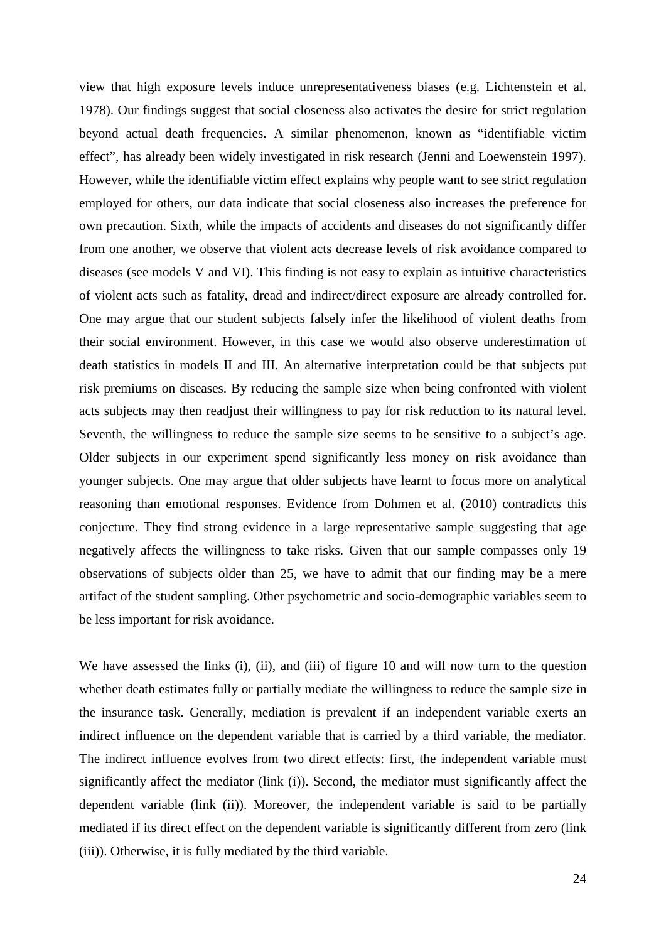view that high exposure levels induce unrepresentativeness biases (e.g. Lichtenstein et al. 1978). Our findings suggest that social closeness also activates the desire for strict regulation beyond actual death frequencies. A similar phenomenon, known as "identifiable victim effect", has already been widely investigated in risk research (Jenni and Loewenstein 1997). However, while the identifiable victim effect explains why people want to see strict regulation employed for others, our data indicate that social closeness also increases the preference for own precaution. Sixth, while the impacts of accidents and diseases do not significantly differ from one another, we observe that violent acts decrease levels of risk avoidance compared to diseases (see models V and VI). This finding is not easy to explain as intuitive characteristics of violent acts such as fatality, dread and indirect/direct exposure are already controlled for. One may argue that our student subjects falsely infer the likelihood of violent deaths from their social environment. However, in this case we would also observe underestimation of death statistics in models II and III. An alternative interpretation could be that subjects put risk premiums on diseases. By reducing the sample size when being confronted with violent acts subjects may then readjust their willingness to pay for risk reduction to its natural level. Seventh, the willingness to reduce the sample size seems to be sensitive to a subject's age. Older subjects in our experiment spend significantly less money on risk avoidance than younger subjects. One may argue that older subjects have learnt to focus more on analytical reasoning than emotional responses. Evidence from Dohmen et al. (2010) contradicts this conjecture. They find strong evidence in a large representative sample suggesting that age negatively affects the willingness to take risks. Given that our sample compasses only 19 observations of subjects older than 25, we have to admit that our finding may be a mere artifact of the student sampling. Other psychometric and socio-demographic variables seem to be less important for risk avoidance.

We have assessed the links (i), (ii), and (iii) of figure 10 and will now turn to the question whether death estimates fully or partially mediate the willingness to reduce the sample size in the insurance task. Generally, mediation is prevalent if an independent variable exerts an indirect influence on the dependent variable that is carried by a third variable, the mediator. The indirect influence evolves from two direct effects: first, the independent variable must significantly affect the mediator (link (i)). Second, the mediator must significantly affect the dependent variable (link (ii)). Moreover, the independent variable is said to be partially mediated if its direct effect on the dependent variable is significantly different from zero (link (iii)). Otherwise, it is fully mediated by the third variable.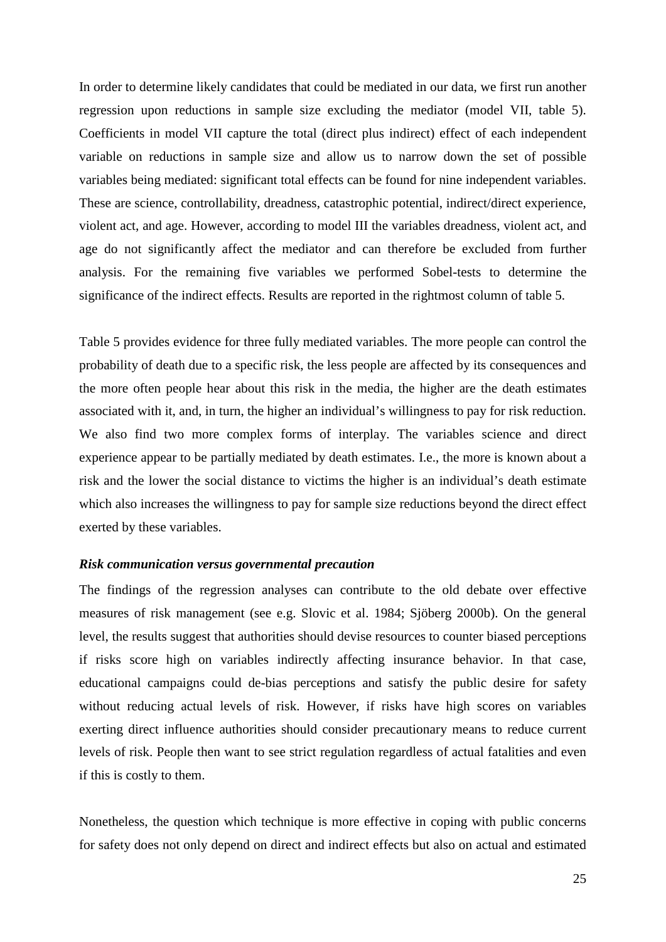In order to determine likely candidates that could be mediated in our data, we first run another regression upon reductions in sample size excluding the mediator (model VII, table 5). Coefficients in model VII capture the total (direct plus indirect) effect of each independent variable on reductions in sample size and allow us to narrow down the set of possible variables being mediated: significant total effects can be found for nine independent variables. These are science, controllability, dreadness, catastrophic potential, indirect/direct experience, violent act, and age. However, according to model III the variables dreadness, violent act, and age do not significantly affect the mediator and can therefore be excluded from further analysis. For the remaining five variables we performed Sobel-tests to determine the significance of the indirect effects. Results are reported in the rightmost column of table 5.

Table 5 provides evidence for three fully mediated variables. The more people can control the probability of death due to a specific risk, the less people are affected by its consequences and the more often people hear about this risk in the media, the higher are the death estimates associated with it, and, in turn, the higher an individual's willingness to pay for risk reduction. We also find two more complex forms of interplay. The variables science and direct experience appear to be partially mediated by death estimates. I.e., the more is known about a risk and the lower the social distance to victims the higher is an individual's death estimate which also increases the willingness to pay for sample size reductions beyond the direct effect exerted by these variables.

### *Risk communication versus governmental precaution*

The findings of the regression analyses can contribute to the old debate over effective measures of risk management (see e.g. Slovic et al. 1984; Sjöberg 2000b). On the general level, the results suggest that authorities should devise resources to counter biased perceptions if risks score high on variables indirectly affecting insurance behavior. In that case, educational campaigns could de-bias perceptions and satisfy the public desire for safety without reducing actual levels of risk. However, if risks have high scores on variables exerting direct influence authorities should consider precautionary means to reduce current levels of risk. People then want to see strict regulation regardless of actual fatalities and even if this is costly to them.

Nonetheless, the question which technique is more effective in coping with public concerns for safety does not only depend on direct and indirect effects but also on actual and estimated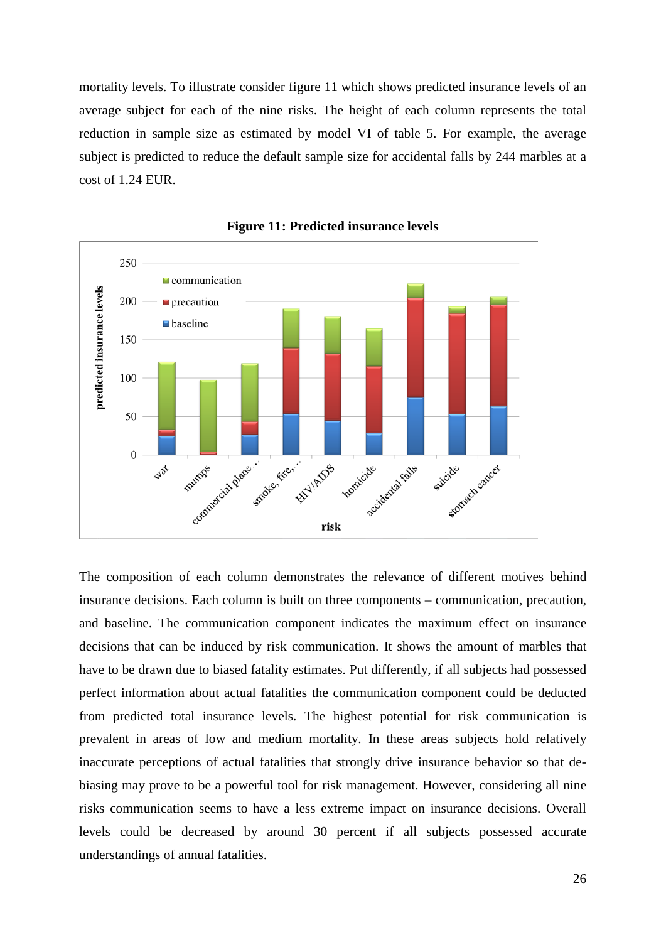mortality levels. To illustrate consider figure 11 which shows predicted insurance levels of an average subject for each of the nine risks. The height of each column represents the total reduction in sample size as estimated by model VI of table 5. For example, the average subject is predicted to reduce the default sample size for accidental falls by 244 marbles at a cost of 1.24 EUR.





The composition of each column demonstrates the relevance of different motives behind insurance decisions. Each column is built on three components – communication, precaution, and baseline. The communication component indicates the maximum effect on insurance decisions that can be induced by risk communication. It shows the amount of marbles that have to be drawn due to biased fatality estimates. Put differently, if all subjects had possessed perfect information about actual fatalities the communication component could be deducted from predicted total insurance levels. The highest potential for risk communication is prevalent in areas of low and medium mortality. In these areas subjects hold relatively inaccurate perceptions of actual fatalities that strongly drive insurance behavior so that debiasing may prove to be a powerful tool for risk management. However, considering all nine risks communication seems to have a less extreme impact on insurance decisions. Overall levels could be decreased by around 30 percent if all subjects possessed accurate understandings of annual fatalities.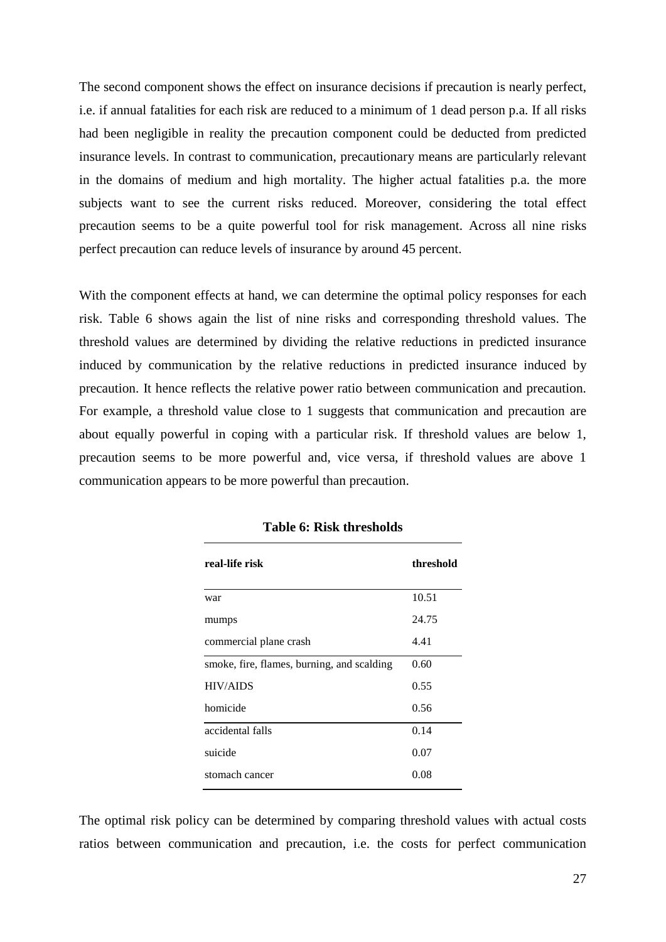The second component shows the effect on insurance decisions if precaution is nearly perfect, i.e. if annual fatalities for each risk are reduced to a minimum of 1 dead person p.a. If all risks had been negligible in reality the precaution component could be deducted from predicted insurance levels. In contrast to communication, precautionary means are particularly relevant in the domains of medium and high mortality. The higher actual fatalities p.a. the more subjects want to see the current risks reduced. Moreover, considering the total effect precaution seems to be a quite powerful tool for risk management. Across all nine risks perfect precaution can reduce levels of insurance by around 45 percent.

With the component effects at hand, we can determine the optimal policy responses for each risk. Table 6 shows again the list of nine risks and corresponding threshold values. The threshold values are determined by dividing the relative reductions in predicted insurance induced by communication by the relative reductions in predicted insurance induced by precaution. It hence reflects the relative power ratio between communication and precaution. For example, a threshold value close to 1 suggests that communication and precaution are about equally powerful in coping with a particular risk. If threshold values are below 1, precaution seems to be more powerful and, vice versa, if threshold values are above 1 communication appears to be more powerful than precaution.

| real-life risk                             | threshold |
|--------------------------------------------|-----------|
| war                                        | 10.51     |
| mumps                                      | 24.75     |
| commercial plane crash                     | 4.41      |
| smoke, fire, flames, burning, and scalding | 0.60      |
| <b>HIV/AIDS</b>                            | 0.55      |
| homicide                                   | 0.56      |
| accidental falls                           | 0.14      |
| suicide                                    | 0.07      |
| stomach cancer                             | 0.08      |

**Table 6: Risk thresholds**

The optimal risk policy can be determined by comparing threshold values with actual costs ratios between communication and precaution, i.e. the costs for perfect communication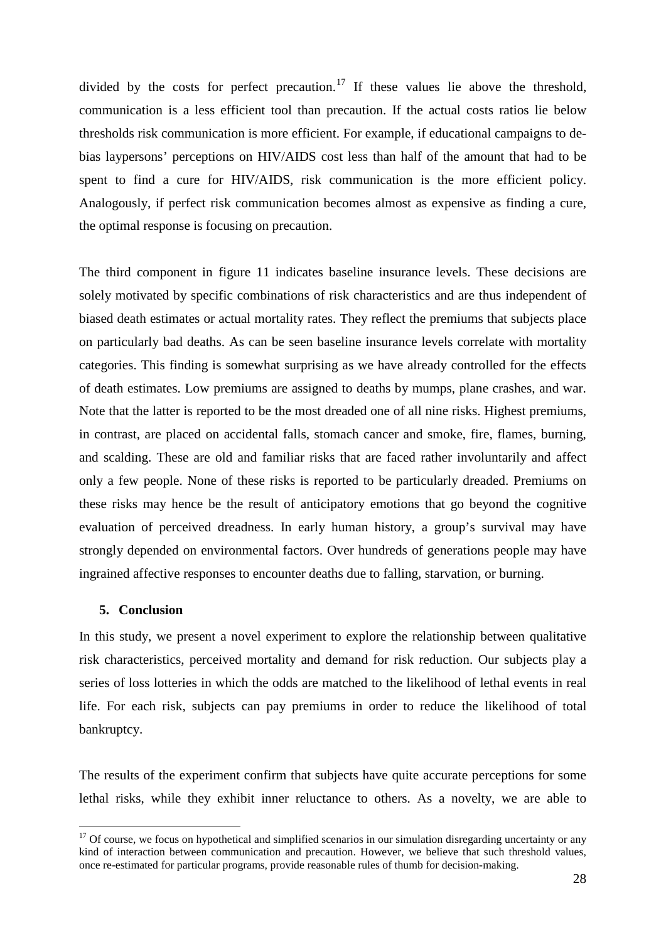divided by the costs for perfect precaution.<sup>[17](#page-25-0)</sup> If these values lie above the threshold, communication is a less efficient tool than precaution. If the actual costs ratios lie below thresholds risk communication is more efficient. For example, if educational campaigns to debias laypersons' perceptions on HIV/AIDS cost less than half of the amount that had to be spent to find a cure for HIV/AIDS, risk communication is the more efficient policy. Analogously, if perfect risk communication becomes almost as expensive as finding a cure, the optimal response is focusing on precaution.

The third component in figure 11 indicates baseline insurance levels. These decisions are solely motivated by specific combinations of risk characteristics and are thus independent of biased death estimates or actual mortality rates. They reflect the premiums that subjects place on particularly bad deaths. As can be seen baseline insurance levels correlate with mortality categories. This finding is somewhat surprising as we have already controlled for the effects of death estimates. Low premiums are assigned to deaths by mumps, plane crashes, and war. Note that the latter is reported to be the most dreaded one of all nine risks. Highest premiums, in contrast, are placed on accidental falls, stomach cancer and smoke, fire, flames, burning, and scalding. These are old and familiar risks that are faced rather involuntarily and affect only a few people. None of these risks is reported to be particularly dreaded. Premiums on these risks may hence be the result of anticipatory emotions that go beyond the cognitive evaluation of perceived dreadness. In early human history, a group's survival may have strongly depended on environmental factors. Over hundreds of generations people may have ingrained affective responses to encounter deaths due to falling, starvation, or burning.

## **5. Conclusion**

In this study, we present a novel experiment to explore the relationship between qualitative risk characteristics, perceived mortality and demand for risk reduction. Our subjects play a series of loss lotteries in which the odds are matched to the likelihood of lethal events in real life. For each risk, subjects can pay premiums in order to reduce the likelihood of total bankruptcy.

The results of the experiment confirm that subjects have quite accurate perceptions for some lethal risks, while they exhibit inner reluctance to others. As a novelty, we are able to

 $17$  Of course, we focus on hypothetical and simplified scenarios in our simulation disregarding uncertainty or any kind of interaction between communication and precaution. However, we believe that such threshold values, once re-estimated for particular programs, provide reasonable rules of thumb for decision-making.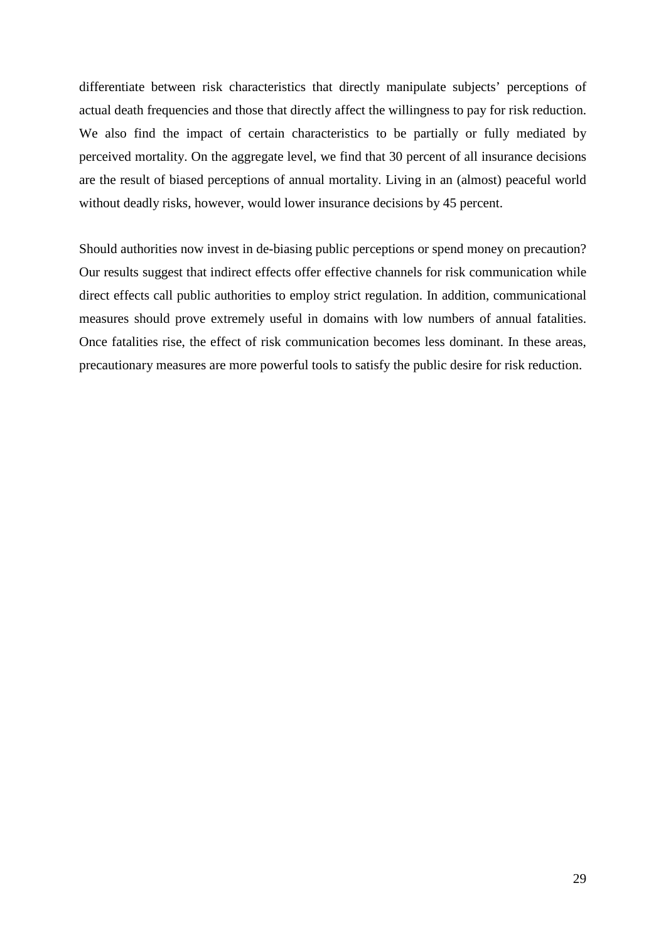differentiate between risk characteristics that directly manipulate subjects' perceptions of actual death frequencies and those that directly affect the willingness to pay for risk reduction. We also find the impact of certain characteristics to be partially or fully mediated by perceived mortality. On the aggregate level, we find that 30 percent of all insurance decisions are the result of biased perceptions of annual mortality. Living in an (almost) peaceful world without deadly risks, however, would lower insurance decisions by 45 percent.

Should authorities now invest in de-biasing public perceptions or spend money on precaution? Our results suggest that indirect effects offer effective channels for risk communication while direct effects call public authorities to employ strict regulation. In addition, communicational measures should prove extremely useful in domains with low numbers of annual fatalities. Once fatalities rise, the effect of risk communication becomes less dominant. In these areas, precautionary measures are more powerful tools to satisfy the public desire for risk reduction.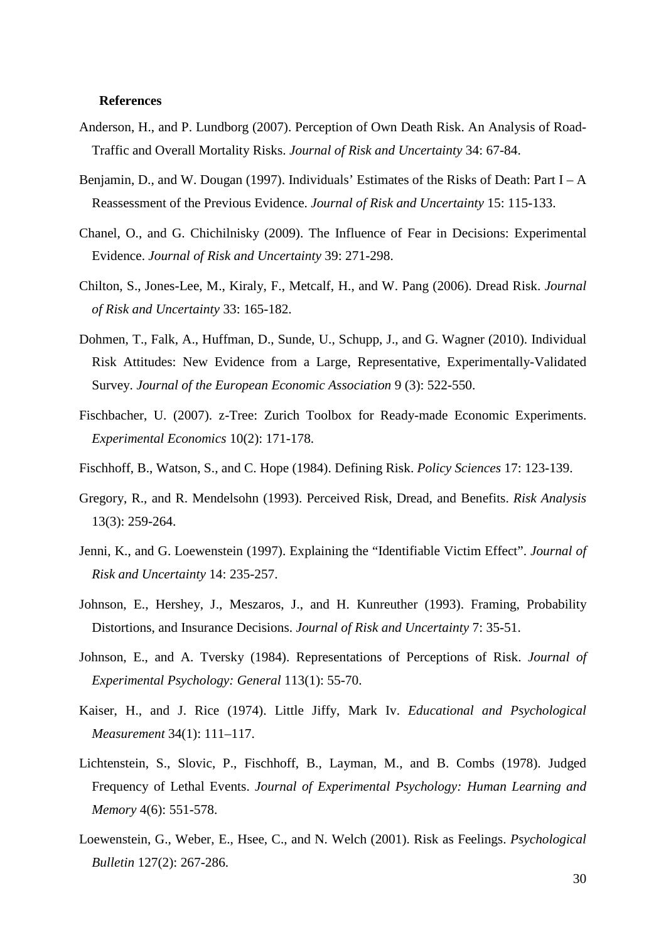#### **References**

- Anderson, H., and P. Lundborg (2007). Perception of Own Death Risk. An Analysis of Road-Traffic and Overall Mortality Risks. *Journal of Risk and Uncertainty* 34: 67-84.
- Benjamin, D., and W. Dougan (1997). Individuals' Estimates of the Risks of Death: Part  $I A$ Reassessment of the Previous Evidence. *Journal of Risk and Uncertainty* 15: 115-133.
- Chanel, O., and G. Chichilnisky (2009). The Influence of Fear in Decisions: Experimental Evidence. *Journal of Risk and Uncertainty* 39: 271-298.
- Chilton, S., Jones-Lee, M., Kiraly, F., Metcalf, H., and W. Pang (2006). Dread Risk. *Journal of Risk and Uncertainty* 33: 165-182.
- Dohmen, T., Falk, A., Huffman, D., Sunde, U., Schupp, J., and G. Wagner (2010). Individual Risk Attitudes: New Evidence from a Large, Representative, Experimentally-Validated Survey. *Journal of the European Economic Association* 9 (3): 522-550.
- Fischbacher, U. (2007). z-Tree: Zurich Toolbox for Ready-made Economic Experiments. *Experimental Economics* 10(2): 171-178.
- Fischhoff, B., Watson, S., and C. Hope (1984). Defining Risk. *Policy Sciences* 17: 123-139.
- Gregory, R., and R. Mendelsohn (1993). Perceived Risk, Dread, and Benefits. *Risk Analysis* 13(3): 259-264.
- Jenni, K., and G. Loewenstein (1997). Explaining the "Identifiable Victim Effect". *Journal of Risk and Uncertainty* 14: 235-257.
- Johnson, E., Hershey, J., Meszaros, J., and H. Kunreuther (1993). Framing, Probability Distortions, and Insurance Decisions. *Journal of Risk and Uncertainty* 7: 35-51.
- Johnson, E., and A. Tversky (1984). Representations of Perceptions of Risk. *Journal of Experimental Psychology: General* 113(1): 55-70.
- Kaiser, H., and J. Rice (1974). Little Jiffy, Mark Iv. *Educational and Psychological Measurement* 34(1): 111–117.
- Lichtenstein, S., Slovic, P., Fischhoff, B., Layman, M., and B. Combs (1978). Judged Frequency of Lethal Events. *Journal of Experimental Psychology: Human Learning and Memory* 4(6): 551-578.
- Loewenstein, G., Weber, E., Hsee, C., and N. Welch (2001). Risk as Feelings. *Psychological Bulletin* 127(2): 267-286.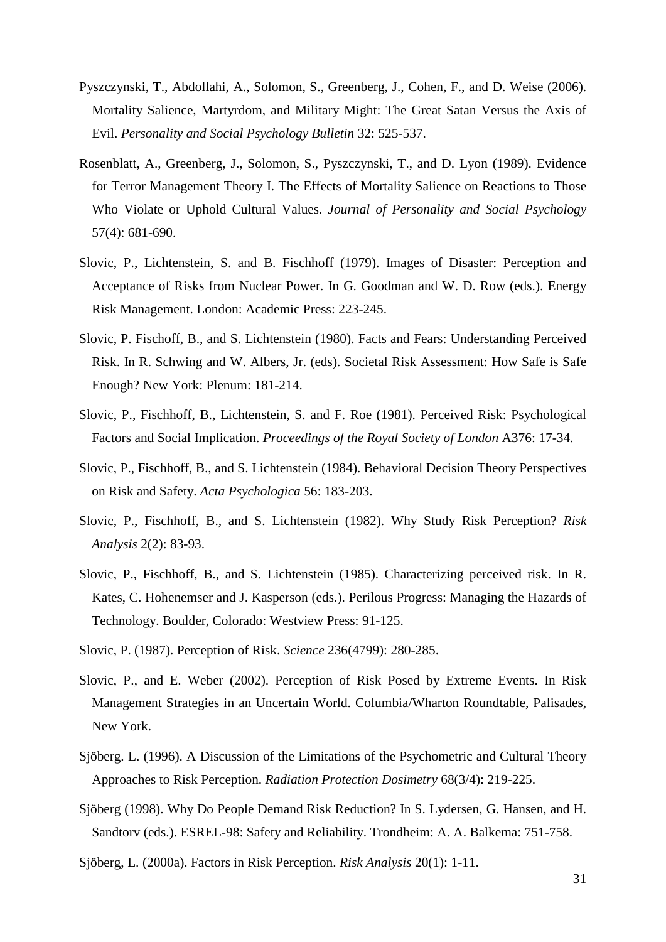- Pyszczynski, T., Abdollahi, A., Solomon, S., Greenberg, J., Cohen, F., and D. Weise (2006). Mortality Salience, Martyrdom, and Military Might: The Great Satan Versus the Axis of Evil. *Personality and Social Psychology Bulletin* 32: 525-537.
- Rosenblatt, A., Greenberg, J., Solomon, S., Pyszczynski, T., and D. Lyon (1989). Evidence for Terror Management Theory I. The Effects of Mortality Salience on Reactions to Those Who Violate or Uphold Cultural Values. *Journal of Personality and Social Psychology* 57(4): 681-690.
- Slovic, P., Lichtenstein, S. and B. Fischhoff (1979). Images of Disaster: Perception and Acceptance of Risks from Nuclear Power. In G. Goodman and W. D. Row (eds.). Energy Risk Management. London: Academic Press: 223-245.
- Slovic, P. Fischoff, B., and S. Lichtenstein (1980). Facts and Fears: Understanding Perceived Risk. In R. Schwing and W. Albers, Jr. (eds). Societal Risk Assessment: How Safe is Safe Enough? New York: Plenum: 181-214.
- Slovic, P., Fischhoff, B., Lichtenstein, S. and F. Roe (1981). Perceived Risk: Psychological Factors and Social Implication. *Proceedings of the Royal Society of London* A376: 17-34.
- Slovic, P., Fischhoff, B., and S. Lichtenstein (1984). Behavioral Decision Theory Perspectives on Risk and Safety. *Acta Psychologica* 56: 183-203.
- Slovic, P., Fischhoff, B., and S. Lichtenstein (1982). Why Study Risk Perception? *Risk Analysis* 2(2): 83-93.
- Slovic, P., Fischhoff, B., and S. Lichtenstein (1985). Characterizing perceived risk. In R. Kates, C. Hohenemser and J. Kasperson (eds.). Perilous Progress: Managing the Hazards of Technology. Boulder, Colorado: Westview Press: 91-125.
- Slovic, P. (1987). Perception of Risk. *Science* 236(4799): 280-285.
- Slovic, P., and E. Weber (2002). Perception of Risk Posed by Extreme Events. In Risk Management Strategies in an Uncertain World. Columbia/Wharton Roundtable, Palisades, New York.
- Sjöberg. L. (1996). A Discussion of the Limitations of the Psychometric and Cultural Theory Approaches to Risk Perception. *Radiation Protection Dosimetry* 68(3/4): 219-225.
- Sjöberg (1998). Why Do People Demand Risk Reduction? In S. Lydersen, G. Hansen, and H. Sandtorv (eds.). ESREL-98: Safety and Reliability. Trondheim: A. A. Balkema: 751-758.

Sjöberg, L. (2000a). Factors in Risk Perception. *Risk Analysis* 20(1): 1-11.